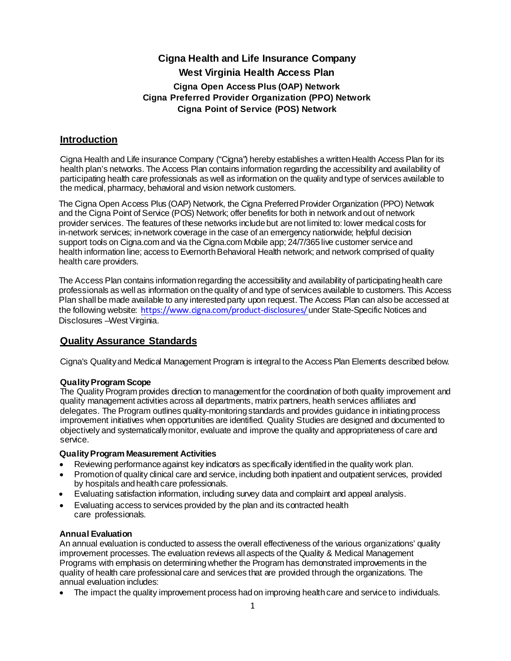# **Cigna Health and Life Insurance Company West Virginia Health Access Plan Cigna Open Access Plus (OAP) Network Cigna Preferred Provider Organization (PPO) Network Cigna Point of Service (POS) Network**

# **Introduction**

Cigna Health and Life insurance Company ("Cigna") hereby establishes a written Health Access Plan for its health plan's networks. The Access Plan contains information regarding the accessibility and availability of participating health care professionals as well as information on the quality and type of services available to the medical, pharmacy, behavioral and vision network customers.

The Cigna Open Access Plus (OAP) Network, the Cigna Preferred Provider Organization (PPO) Network and the Cigna Point of Service (POS) Network; offer benefits for both in network andout of network provider services. The features of these networks includebut arenot limited to: lower medical costs for in-network services; in-network coverage in the case of an emergency nationwide; helpful decision support tools on Cigna.com and via the Cigna.com Mobile app; 24/7/365 live customer service and health information line; access to Evernorth Behavioral Health network; and network comprised of quality health care providers.

The Access Plan contains information regarding the accessibility and availability of participating health care professionals as well as information on the quality of and type of services available to customers. This Access Plan shall be made available to any interested party upon request. The Access Plan can also be accessed at the following website: [https://www.cigna.com/product-disclo](http://www.cigna.com/product-disclosures/)sures/under State-Specific Notices and Disclosures –West Virginia.

# **Quality Assurance Standards**

Cigna's Qualityand Medical Management Program is integral to the Access Plan Elements described below.

## **QualityProgram Scope**

The Quality Program provides direction to managementfor the coordination of both quality improvement and quality management activities across all departments, matrix partners, health services affiliates and delegates. The Program outlines quality-monitoring standards and provides guidance in initiating process improvement initiatives when opportunities are identified. Quality Studies are designed and documented to objectively and systematicallymonitor, evaluate and improve the quality and appropriateness of care and service.

## **QualityProgram Measurement Activities**

- Reviewing performance against key indicators as specifically identified in the quality work plan.
- Promotionof quality clinical care and service, including both inpatient and outpatient services, provided by hospitals and health care professionals.
- Evaluating satisfaction information, including survey data and complaint and appeal analysis.
- Evaluating access to services provided by the plan and its contracted health care professionals.

# **Annual Evaluation**

An annual evaluation is conducted to assess the overall effectiveness of the various organizations' quality improvement processes. The evaluation reviews all aspects of the Quality & Medical Management Programs with emphasis on determiningwhether the Program has demonstrated improvements in the quality of health care professional care and services that are provided through the organizations. The annual evaluation includes:

The impact the quality improvement process had on improving health care and service to individuals.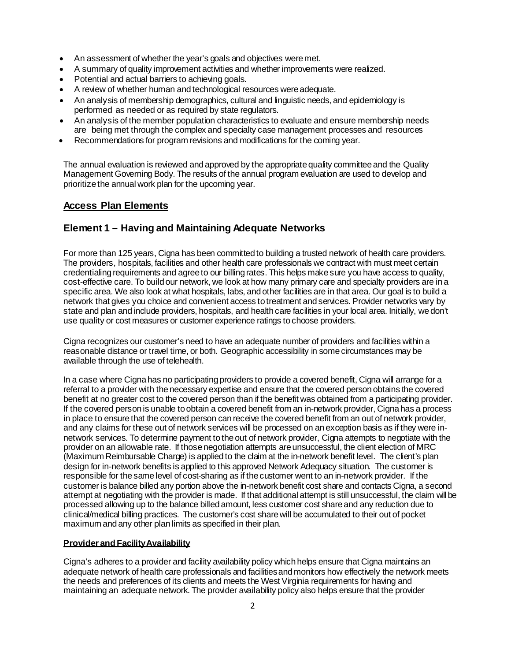- An assessment of whether the year's goals and objectives weremet.
- A summary of quality improvement activities and whether improvements were realized.
- Potential and actual barriers to achieving goals.
- A review of whether human and technological resources were adequate.
- An analysis of membership demographics, cultural and linguistic needs, and epidemiology is performed as needed or as required by state regulators.
- An analysis of the member population characteristics to evaluate and ensure membership needs are being met through the complex and specialty case management processes and resources
- Recommendations for program revisions and modifications for the coming year.

The annual evaluation is reviewed and approved by the appropriate quality committee and the Quality Management Governing Body. The results of the annual program evaluation are used to develop and prioritizethe annual work plan for the upcoming year.

# **Access Plan Elements**

# **Element 1 – Having and Maintaining Adequate Networks**

For more than 125 years, Cigna has been committed to building a trusted network of health care providers. The providers, hospitals, facilities and other health care professionals we contract with must meet certain credentialing requirements and agree to our billing rates. This helps make sure you have access to quality, cost-effective care. To build our network, we look at how many primary care and specialty providers are in a specific area. We also look at what hospitals, labs, and other facilities are in that area. Our goal is to build a network that gives you choice and convenient access to treatment and services. Provider networks vary by state and plan and include providers, hospitals, and health care facilities in your local area. Initially, we don't use quality or cost measures or customer experience ratings to choose providers.

Cigna recognizes our customer's need to have an adequate number of providers and facilities within a reasonable distance or travel time, or both. Geographic accessibility in somecircumstances may be available through the use of telehealth.

In a case where Cigna has no participating providers to provide a covered benefit, Cigna will arrange for a referral to a provider with the necessary expertise and ensure that the covered person obtains the covered benefit at no greater cost to the covered person than if the benefit was obtained from a participating provider. If the covered person is unable to obtain a covered benefit from an in-network provider, Cigna has a process in place to ensure that the covered person can receive the covered benefit from an out of network provider, and any claims for these out of network services will be processed on an exception basis as if they were innetwork services. To determine payment to the out of network provider, Cigna attempts to negotiate with the provider on an allowable rate. If those negotiation attempts are unsuccessful, the client election of MRC (Maximum Reimbursable Charge) is applied to the claim at the in-network benefit level. The client's plan design for in-network benefits is applied to this approved Network Adequacy situation. The customer is responsible for the same level of cost-sharing as if the customer went to an in-network provider. If the customer is balance billed any portion above the in-network benefit cost share and contacts Cigna, a second attempt at negotiating with the provider is made. If that additional attempt is still unsuccessful, the claim will be processed allowing up to the balance billed amount, less customer cost share and any reduction due to clinical/medical billing practices. The customer's cost share will be accumulated to their out of pocket maximum and any other plan limits as specified in their plan.

### **Provider and FacilityAvailability**

Cigna's adheres to a provider and facility availability policy whichhelps ensure that Cigna maintains an adequate network of health care professionals and facilitiesandmonitors how effectively the network meets the needs and preferences of its clients and meets the West Virginia requirements for having and maintaining an adequate network. The provider availability policy also helps ensure that the provider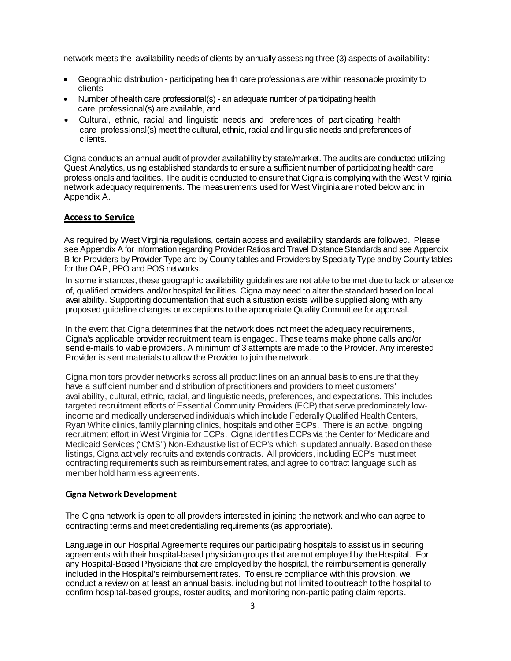network meets the availability needs of clients by annually assessing three (3) aspects of availability:

- Geographic distribution participating health care professionals are within reasonable proximity to clients.
- Number of health care professional(s) an adequate number of participating health care professional(s) are available, and
- Cultural, ethnic, racial and linguistic needs and preferences of participating health care professional(s) meet thecultural, ethnic, racial and linguistic needs and preferences of clients.

Cigna conducts an annual audit of provider availability by state/market. The audits are conducted utilizing Quest Analytics, using established standards to ensure a sufficient number of participating health care professionals and facilities. The audit is conducted to ensure that Cigna is complying with the West Virginia network adequacy requirements. The measurements used for West Virginiaare noted below and in Appendix A.

### **Access to Service**

As required by West Virginia regulations, certain access and availability standards are followed. Please see Appendix A for information regarding Provider Ratios and Travel Distance Standards and see Appendix B for Providers by Provider Type and by County tables and Providers by Specialty Type and by County tables for the OAP, PPO and POS networks.

In some instances, these geographic availability guidelines are not able to be met due to lack or absence of, qualified providers and/or hospital facilities. Cigna may need to alter the standard based on local availability. Supporting documentation that such a situation exists will be supplied along with any proposed guideline changes or exceptions to the appropriate Quality Committee for approval.

In the event that Cigna determines that the network does not meet the adequacy requirements, Cigna's applicable provider recruitment team is engaged. These teams make phone calls and/or send e-mails to viable providers. A minimum of 3 attempts are made to the Provider. Any interested Provider is sent materials to allow the Provider to join the network.

Cigna monitors provider networks across all product lines on an annual basis to ensure that they have a sufficient number and distribution of practitioners and providers to meet customers' availability, cultural, ethnic, racial, and linguistic needs, preferences, and expectations. This includes targeted recruitment efforts of Essential Community Providers (ECP) that serve predominately lowincome and medically underserved individuals which include Federally Qualified Health Centers, Ryan White clinics, family planning clinics, hospitals and other ECPs. There is an active, ongoing recruitment effort in West Virginia for ECPs. Cigna identifies ECPs via the Center for Medicare and Medicaid Services ("CMS") Non-Exhaustive list of ECP's which is updated annually. Based on these listings, Cigna actively recruits and extends contracts. All providers, including ECP's must meet contracting requirements such as reimbursement rates, and agree to contract language such as member hold harmless agreements.

### **Cigna Network Development**

The Cigna network is open to all providers interested in joining the network and who can agree to contracting terms and meet credentialing requirements (as appropriate).

Language in our Hospital Agreements requires our participating hospitals to assist us in securing agreements with their hospital-based physician groups that are not employed by the Hospital. For any Hospital-Based Physicians that are employed by the hospital, the reimbursement is generally included in the Hospital's reimbursement rates. To ensure compliance with this provision, we conduct a review on at least an annual basis, including but not limited to outreach to the hospital to confirm hospital-based groups, roster audits, and monitoring non-participating claim reports.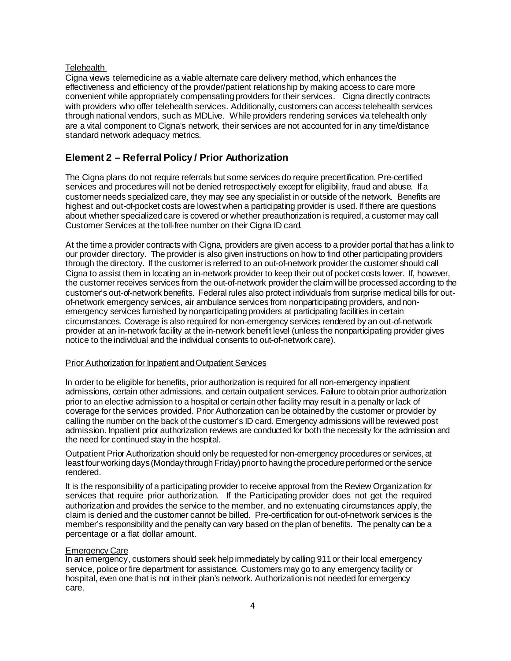### **Telehealth**

Cigna views telemedicine as a viable alternate care delivery method, which enhances the effectiveness and efficiency of the provider/patient relationship by making access to care more convenient while appropriately compensating providers for their services. Cigna directly contracts with providers who offer telehealth services. Additionally, customers can access telehealth services through national vendors, such as MDLive. While providers rendering services via telehealth only are a vital component to Cigna's network, their services are not accounted for in any time/distance standard network adequacy metrics.

# **Element 2 – Referral Policy / Prior Authorization**

The Cigna plans do not require referrals but some services do require precertification. Pre-certified services and procedures will not be denied retrospectively except for eligibility, fraud and abuse. If a customer needs specialized care, they may see any specialist in or outside of the network. Benefits are highest and out-of-pocket costs are lowest when a participating provider is used. If there are questions about whether specialized care is covered or whether preauthorization is required, a customer may call Customer Services at the toll-free number on their Cigna ID card.

At the time a provider contracts with Cigna, providers are given access to a provider portal that has a link to our provider directory. The provider is also given instructions on how to find other participating providers through the directory. If the customer is referred to an out-of-network provider the customer should call Cigna to assist them in locating an in-network provider to keep their out of pocket costs lower. If, however, the customer receives services from the out-of-network provider the claim will be processed according to the customer's out-of-network benefits. Federal rules also protect individuals from surprise medical bills for outof-network emergency services, air ambulance services from nonparticipating providers, and nonemergency services furnished by nonparticipating providers at participating facilities in certain circumstances. Coverage is also required for non-emergency services rendered by an out-of-network provider at an in-network facility at the in-network benefit level (unless the nonparticipating provider gives notice to the individual and the individual consents to out-of-network care).

### Prior Authorization for Inpatient and Outpatient Services

In order to be eligible for benefits, prior authorization is required for all non-emergency inpatient admissions, certain other admissions, and certain outpatient services. Failure to obtain prior authorization prior to an elective admission to a hospital or certain other facility may result in a penalty or lack of coverage for the services provided. Prior Authorization can be obtained by the customer or provider by calling the number on the back of the customer's ID card. Emergency admissions will be reviewed post admission. Inpatient prior authorization reviews are conductedfor both the necessity for the admission and the need for continued stay in the hospital.

Outpatient Prior Authorization should only be requestedfor non-emergency procedures or services, at least four working days (Monday through Friday) prior to having the procedure performed or the service rendered.

It is the responsibility of a participating provider to receive approval from the Review Organization for services that require prior authorization. If the Participating provider does not get the required authorization and provides the service to the member, and no extenuating circumstances apply, the claim is denied and the customer cannot be billed. Pre-certification for out-of-network services is the member's responsibility and the penalty can vary based on the plan of benefits. The penalty can be a percentage or a flat dollar amount.

### **Emergency Care**

In an emergency, customers should seek help immediately by calling 911 or their local emergency service, police or fire department for assistance. Customers may go to any emergency facility or hospital, even one that is not in their plan's network. Authorizationis not needed for emergency care.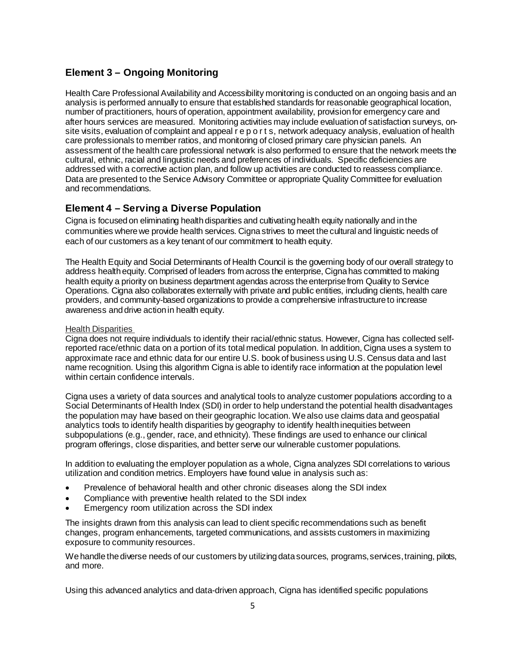# **Element 3 – Ongoing Monitoring**

Health Care Professional Availability and Accessibility monitoring is conducted on an ongoing basis and an analysis is performed annually to ensure that established standards for reasonable geographical location, number of practitioners, hours of operation, appointment availability, provision for emergency care and after hours services are measured. Monitoring activities may include evaluation of satisfaction surveys, onsite visits, evaluation of complaint and appeal r e p o r t s, network adequacy analysis, evaluation of health care professionals to member ratios, and monitoring of closed primary care physician panels. An assessment of the health care professional network is also performed to ensure that the network meets the cultural, ethnic, racial and linguistic needs and preferences of individuals. Specific deficiencies are addressed with a corrective action plan, and follow up activities are conducted to reassess compliance. Data are presented to the Service Advisory Committee or appropriate Quality Committee for evaluation and recommendations.

# **Element 4 – Serving a Diverse Population**

Cigna is focused on eliminating health disparities and cultivating health equity nationally and in the communities where we provide health services. Cigna strives to meet the cultural and linguistic needs of each of our customers as a key tenant of our commitment to health equity.

The Health Equity and Social Determinants of Health Council is the governing body of our overall strategy to address health equity. Comprised of leaders from across the enterprise, Cigna has committed to making health equity a priority on business department agendas across the enterprise from Quality to Service Operations. Cigna also collaborates externally with private and public entities, including clients, health care providers, and community-based organizations to provide a comprehensive infrastructure to increase awareness and drive action in health equity.

### Health Disparities

Cigna does not require individuals to identify their racial/ethnic status. However, Cigna has collected selfreported race/ethnic data on a portion of its total medical population. In addition, Cigna uses a system to approximate race and ethnic data for our entire U.S. book of business using U.S. Census data and last name recognition. Using this algorithm Cigna is able to identify race information at the population level within certain confidence intervals.

Cigna uses a variety of data sources and analytical tools to analyze customer populations according to a Social Determinants of Health Index (SDI) in order to help understand the potential health disadvantages the population may have based on their geographic location. We also use claims data and geospatial analytics tools to identify health disparities by geography to identify health inequities between subpopulations (e.g., gender, race, and ethnicity). These findings are used to enhance our clinical program offerings, close disparities, and better serve our vulnerable customer populations.

In addition to evaluating the employer population as a whole, Cigna analyzes SDI correlations to various utilization and condition metrics. Employers have found value in analysis such as:

- Prevalence of behavioral health and other chronic diseases along the SDI index
- Compliance with preventive health related to the SDI index
- Emergency room utilization across the SDI index

The insights drawn from this analysis can lead to client specific recommendations such as benefit changes, program enhancements, targeted communications, and assists customers in maximizing exposure to community resources.

We handle the diverse needs of our customers by utilizing data sources, programs, services, training, pilots, and more.

Using this advanced analytics and data-driven approach, Cigna has identified specific populations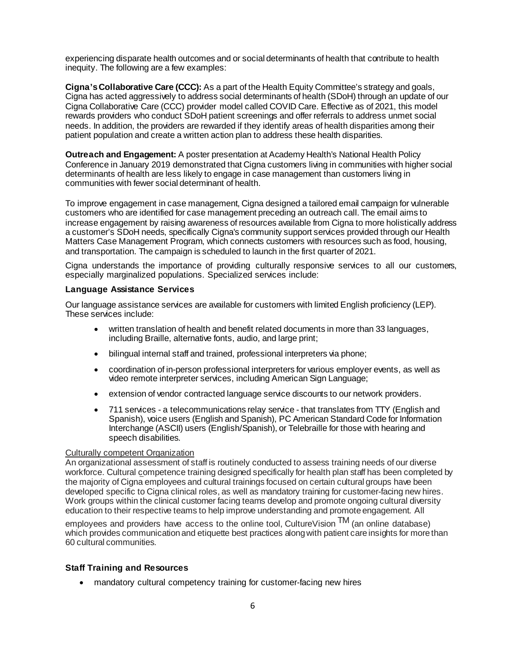experiencing disparate health outcomes and or social determinants of health that contribute to health inequity. The following are a few examples:

**Cigna's Collaborative Care (CCC):** As a part of the Health Equity Committee's strategy and goals, Cigna has acted aggressively to address social determinants of health (SDoH) through an update of our Cigna Collaborative Care (CCC) provider model called COVID Care. Effective as of 2021, this model rewards providers who conduct SDoH patient screenings and offer referrals to address unmet social needs. In addition, the providers are rewarded if they identify areas of health disparities among their patient population and create a written action plan to address these health disparities.

**Outreach and Engagement:** A poster presentation at Academy Health's National Health Policy Conference in January 2019 demonstrated that Cigna customers living in communities with higher social determinants of health are less likely to engage in case management than customers living in communities with fewer social determinant of health.

To improve engagement in case management, Cigna designed a tailored email campaign for vulnerable customers who are identified for case management preceding an outreach call. The email aims to increase engagement by raising awareness of resources available from Cigna to more holistically address a customer's SDoH needs, specifically Cigna's community support services provided through our Health Matters Case Management Program, which connects customers with resources such as food, housing, and transportation. The campaign is scheduled to launch in the first quarter of 2021.

Cigna understands the importance of providing culturally responsive services to all our customers, especially marginalized populations. Specialized services include:

### **Language Assistance Services**

Our language assistance services are available for customers with limited English proficiency (LEP). These services include:

- written translation of health and benefit related documents in more than 33 languages, including Braille, alternative fonts, audio, and large print;
- bilingual internal staff and trained, professional interpreters via phone;
- coordination of in-person professional interpreters for various employer events, as well as video remote interpreter services, including American Sign Language;
- extension of vendor contracted language service discounts to our network providers.
- 711 services a telecommunications relay service that translates from TTY (English and Spanish), voice users (English and Spanish), PC American Standard Code for Information Interchange (ASCII) users (English/Spanish), or Telebraille for those with hearing and speech disabilities.

#### Culturally competent Organization

An organizational assessment of staff is routinely conducted to assess training needs of our diverse workforce. Cultural competence training designed specifically for health plan staff has been completed by the majority of Cigna employees and cultural trainings focused on certain cultural groups have been developed specific to Cigna clinical roles, as well as mandatory training for customer-facing new hires. Work groups within the clinical customer facing teams develop and promote ongoing cultural diversity education to their respective teams to help improve understanding and promote engagement. All

employees and providers have access to the online tool, CultureVision  $TM$  (an online database) which provides communication and etiquette best practices along with patient care insights for more than 60 cultural communities.

### **Staff Training and Resources**

• mandatory cultural competency training for customer-facing new hires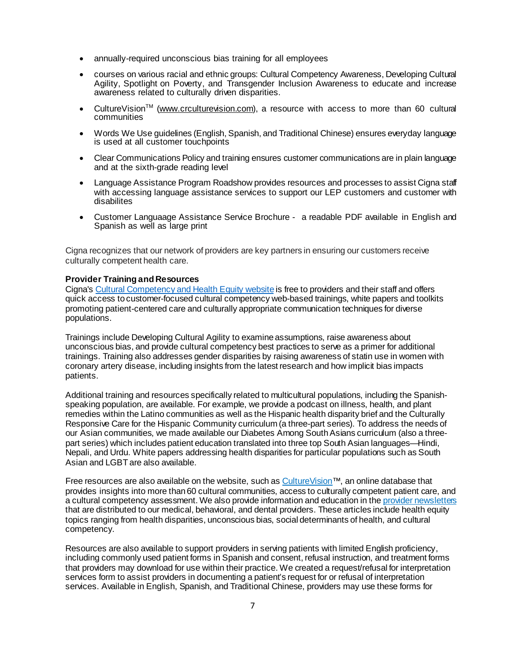- annually-required unconscious bias training for all employees
- courses on various racial and ethnic groups: Cultural Competency Awareness, Developing Cultural Agility, Spotlight on Poverty, and Transgender Inclusion Awareness to educate and increase awareness related to culturally driven disparities.
- CultureVision<sup>™</sup> [\(www.crculturevision.com](http://www.crculturevision.com/)), a resource with access to more than 60 cultural communities
- Words We Use guidelines (English, Spanish, and Traditional Chinese) ensures everyday language is used at all customer touchpoints
- Clear Communications Policy and training ensures customer communications are in plain language and at the sixth-grade reading level
- Language Assistance Program Roadshow provides resources and processes to assist Cigna staff with accessing language assistance services to support our LEP customers and customer with disabilites
- Customer Languaage Assistance Service Brochure a readable PDF available in English and Spanish as well as large print

Cigna recognizes that our network of providers are key partners in ensuring our customers receive culturally competent health care.

#### **Provider Training and Resources**

Cigna's Cultural Competency and Health Equity website is free to providers and their staff and offers quick access to customer-focused cultural competency web-based trainings, white papers and toolkits promoting patient-centered care and culturally appropriate communication techniques for diverse populations.

Trainings include Developing Cultural Agility to examine assumptions, raise awareness about unconscious bias, and provide cultural competency best practices to serve as a primer for additional trainings. Training also addresses gender disparities by raising awareness of statin use in women with coronary artery disease, including insights from the latest research and how implicit bias impacts patients.

Additional training and resources specifically related to multicultural populations, including the Spanishspeaking population, are available. For example, we provide a podcast on illness, health, and plant remedies within the Latino communities as well as the Hispanic health disparity brief and the Culturally Responsive Care for the Hispanic Community curriculum (a three-part series). To address the needs of our Asian communities, we made available our Diabetes Among South Asians curriculum (also a threepart series) which includes patient education translated into three top South Asian languages—Hindi, Nepali, and Urdu. White papers addressing health disparities for particular populations such as South Asian and LGBT are also available.

Free resources are also available on the website, such a[s CultureVision](https://www.cigna.com/health-care-providers/resources/culturevision)™, an online database that provides insights into more than 60 cultural communities, access to culturally competent patient care, and a cultural competency assessment. We also provide information and education in th[e provider newsletters](https://www.cigna.com/health-care-providers/resources/newsletters/network-news) that are distributed to our medical, behavioral, and dental providers. These articles include health equity topics ranging from health disparities, unconscious bias, social determinants of health, and cultural competency.

Resources are also available to support providers in serving patients with limited English proficiency, including commonly used patient forms in Spanish and consent, refusal instruction, and treatment forms that providers may download for use within their practice. We created a request/refusal for interpretation services form to assist providers in documenting a patient's request for or refusal of interpretation services. Available in English, Spanish, and Traditional Chinese, providers may use these forms for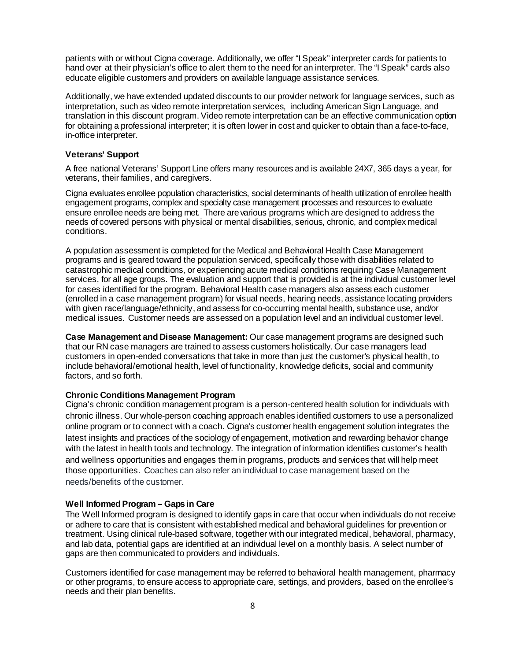patients with or without Cigna coverage. Additionally, we offer "I Speak" interpreter cards for patients to hand over at their physician's office to alert them to the need for an interpreter. The "I Speak" cards also educate eligible customers and providers on available language assistance services.

Additionally, we have extended updated discounts to our provider network for language services, such as interpretation, such as video remote interpretation services, including American Sign Language, and translation in this discount program. Video remote interpretation can be an effective communication option for obtaining a professional interpreter; it is often lower in cost and quicker to obtain than a face-to-face, in-office interpreter.

#### **Veterans' Support**

A free national Veterans' Support Line offers many resources and is available 24X7, 365 days a year, for veterans, their families, and caregivers.

Cigna evaluates enrollee population characteristics, social determinants of health utilization of enrollee health engagement programs, complex and specialty case management processes and resources to evaluate ensure enrollee needs are being met. There are various programs which are designed to address the needs of covered persons with physical or mental disabilities, serious, chronic, and complex medical conditions.

A population assessment is completed for the Medical and Behavioral Health Case Management programs and is geared toward the population serviced, specifically those with disabilities related to catastrophic medical conditions, or experiencing acute medical conditions requiring Case Management services, for all age groups. The evaluation and support that is provided is at the individual customer level for cases identified for the program. Behavioral Health case managers also assess each customer (enrolled in a case management program) for visual needs, hearing needs, assistance locating providers with given race/language/ethnicity, and assess for co-occurring mental health, substance use, and/or medical issues. Customer needs are assessed on a population level and an individual customer level.

**Case Management and Disease Management:** Our case management programs are designed such that our RN case managers are trained to assess customers holistically. Our case managers lead customers in open-ended conversations that take in more than just the customer's physical health, to include behavioral/emotional health, level of functionality, knowledge deficits, social and community factors, and so forth.

### **Chronic Conditions Management Program**

Cigna's chronic condition management program is a person-centered health solution for individuals with chronic illness. Our whole-person coaching approach enables identified customers to use a personalized online program or to connect with a coach. Cigna's customer health engagement solution integrates the latest insights and practices of the sociology of engagement, motivation and rewarding behavior change with the latest in health tools and technology. The integration of information identifies customer's health and wellness opportunities and engages them in programs, products and services that will help meet those opportunities. Coaches can also refer an individual to case management based on the needs/benefits of the customer.

#### **Well Informed Program – Gaps in Care**

The Well Informed program is designed to identify gaps in care that occur when individuals do not receive or adhere to care that is consistent with established medical and behavioral guidelines for prevention or treatment. Using clinical rule-based software, together with our integrated medical, behavioral, pharmacy, and lab data, potential gaps are identified at an individual level on a monthly basis. A select number of gaps are then communicated to providers and individuals.

Customers identified for case management may be referred to behavioral health management, pharmacy or other programs, to ensure access to appropriate care, settings, and providers, based on the enrollee's needs and their plan benefits.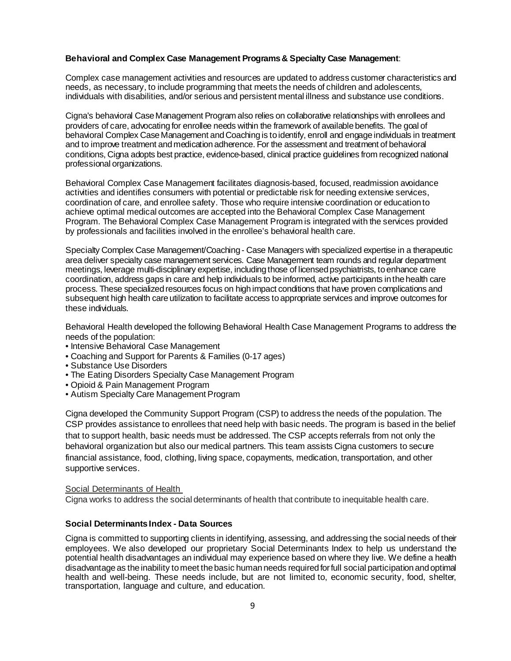### **Behavioral and Complex Case Management Programs & Specialty Case Management**:

Complex case management activities and resources are updated to address customer characteristics and needs, as necessary, to include programming that meets the needs of children and adolescents, individuals with disabilities, and/or serious and persistent mental illness and substance use conditions.

Cigna's behavioral Case Management Program also relies on collaborative relationships with enrollees and providers of care, advocating for enrollee needs within the framework of available benefits. The goal of behavioral Complex Case Management and Coaching is to identify, enroll and engage individuals in treatment and to improve treatment and medication adherence. For the assessment and treatment of behavioral conditions, Cigna adopts best practice, evidence-based, clinical practice guidelines from recognized national professional organizations.

Behavioral Complex Case Management facilitates diagnosis-based, focused, readmission avoidance activities and identifies consumers with potential or predictable risk for needing extensive services, coordination of care, and enrollee safety. Those who require intensive coordination or education to achieve optimal medical outcomes are accepted into the Behavioral Complex Case Management Program. The Behavioral Complex Case Management Program is integrated with the services provided by professionals and facilities involved in the enrollee's behavioral health care.

Specialty Complex Case Management/Coaching - Case Managers with specialized expertise in a therapeutic area deliver specialty case management services. Case Management team rounds and regular department meetings, leverage multi-disciplinary expertise, including those of licensed psychiatrists, to enhance care coordination, address gaps in care and help individuals to be informed, active participants in the health care process. These specialized resources focus on high impact conditions that have proven complications and subsequent high health care utilization to facilitate access to appropriate services and improve outcomes for these individuals.

Behavioral Health developed the following Behavioral Health Case Management Programs to address the needs of the population:

- Intensive Behavioral Case Management
- Coaching and Support for Parents & Families (0-17 ages)
- Substance Use Disorders
- The Eating Disorders Specialty Case Management Program
- Opioid & Pain Management Program
- Autism Specialty Care Management Program

Cigna developed the Community Support Program (CSP) to address the needs of the population. The CSP provides assistance to enrollees that need help with basic needs. The program is based in the belief that to support health, basic needs must be addressed. The CSP accepts referrals from not only the behavioral organization but also our medical partners. This team assists Cigna customers to secure financial assistance, food, clothing, living space, copayments, medication, transportation, and other supportive services.

### Social Determinants of Health

Cigna works to address the social determinants of health that contribute to inequitable health care.

### **Social Determinants Index - Data Sources**

Cigna is committed to supporting clients in identifying, assessing, and addressing the social needs of their employees. We also developed our proprietary Social Determinants Index to help us understand the potential health disadvantages an individual may experience based on where they live. We define a health disadvantage as the inability to meet the basic human needs required for full social participation and optimal health and well-being. These needs include, but are not limited to, economic security, food, shelter, transportation, language and culture, and education.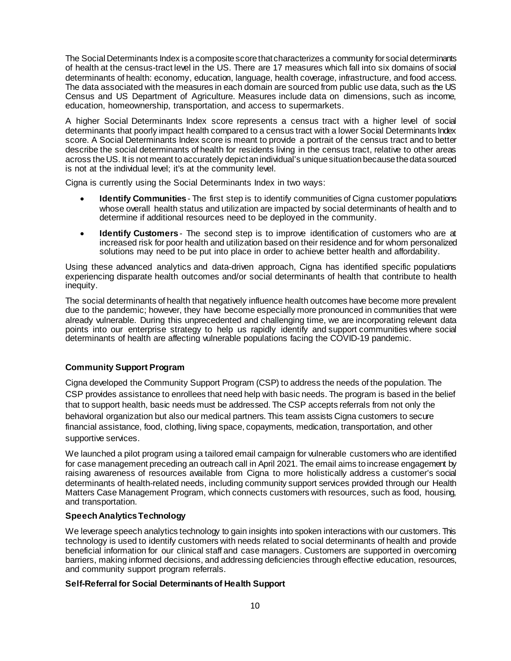The Social Determinants Index is a composite score that characterizes a community for social determinants of health at the census-tract level in the US. There are 17 measures which fall into six domains of social determinants of health: economy, education, language, health coverage, infrastructure, and food access. The data associated with the measures in each domain are sourced from public use data, such as the US Census and US Department of Agriculture. Measures include data on dimensions, such as income, education, homeownership, transportation, and access to supermarkets.

A higher Social Determinants Index score represents a census tract with a higher level of social determinants that poorly impact health compared to a census tract with a lower Social Determinants Index score. A Social Determinants Index score is meant to provide a portrait of the census tract and to better describe the social determinants of health for residents living in the census tract, relative to other areas across the US. It is not meant to accurately depict an individual's unique situation because the data sourced is not at the individual level; it's at the community level.

Cigna is currently using the Social Determinants Index in two ways:

- **Identify Communities** The first step is to identify communities of Cigna customer populations whose overall health status and utilization are impacted by social determinants of health and to determine if additional resources need to be deployed in the community.
- **Identify Customers** The second step is to improve identification of customers who are at increased risk for poor health and utilization based on their residence and for whom personalized solutions may need to be put into place in order to achieve better health and affordability.

Using these advanced analytics and data-driven approach, Cigna has identified specific populations experiencing disparate health outcomes and/or social determinants of health that contribute to health inequity.

The social determinants of health that negatively influence health outcomes have become more prevalent due to the pandemic; however, they have become especially more pronounced in communities that were already vulnerable. During this unprecedented and challenging time, we are incorporating relevant data points into our enterprise strategy to help us rapidly identify and support communities where social determinants of health are affecting vulnerable populations facing the COVID-19 pandemic.

## **Community Support Program**

Cigna developed the Community Support Program (CSP) to address the needs of the population. The CSP provides assistance to enrollees that need help with basic needs. The program is based in the belief that to support health, basic needs must be addressed. The CSP accepts referrals from not only the behavioral organization but also our medical partners. This team assists Cigna customers to secure financial assistance, food, clothing, living space, copayments, medication, transportation, and other supportive services.

We launched a pilot program using a tailored email campaign for vulnerable customers who are identified for case management preceding an outreach call in April 2021. The email aims to increase engagement by raising awareness of resources available from Cigna to more holistically address a customer's social determinants of health-related needs, including community support services provided through our Health Matters Case Management Program, which connects customers with resources, such as food, housing, and transportation.

### **Speech Analytics Technology**

We leverage speech analytics technology to gain insights into spoken interactions with our customers. This technology is used to identify customers with needs related to social determinants of health and provide beneficial information for our clinical staff and case managers. Customers are supported in overcoming barriers, making informed decisions, and addressing deficiencies through effective education, resources, and community support program referrals.

### **Self-Referral for Social Determinants of Health Support**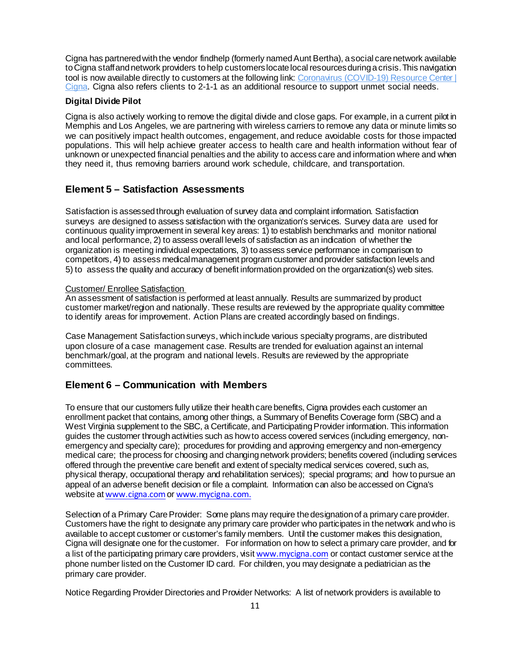Cigna has partnered with the vendor findhelp (formerly named Aunt Bertha), a social care network available to Cigna staff and network providers to help customers locate local resources during a crisis. This navigation tool is now available directly to customers at the following link: Coronavirus (COVID-19) Resource Center | [Cigna.](https://www.cigna.com/coronavirus/) Cigna also refers clients to 2-1-1 as an additional resource to support unmet social needs.

### **Digital Divide Pilot**

Cigna is also actively working to remove the digital divide and close gaps. For example, in a current pilot in Memphis and Los Angeles, we are partnering with wireless carriers to remove any data or minute limits so we can positively impact health outcomes, engagement, and reduce avoidable costs for those impacted populations. This will help achieve greater access to health care and health information without fear of unknown or unexpected financial penalties and the ability to access care and information where and when they need it, thus removing barriers around work schedule, childcare, and transportation.

# **Element 5 – Satisfaction Assessments**

Satisfaction is assessedthrough evaluation of survey data and complaint information. Satisfaction surveys are designed to assess satisfaction with the organization's services. Survey data are used for continuous quality improvement in several key areas: 1) to establish benchmarks and monitor national and local performance, 2) to assess overall levels of satisfaction as an indication of whether the organization is meeting individual expectations, 3) toassess service performance in comparison to competitors, 4) to assess medicalmanagement program customer andprovider satisfaction levels and 5) to assess the quality and accuracy of benefit information provided on the organization(s) web sites.

#### Customer/ Enrollee Satisfaction

An assessment of satisfaction is performed at least annually. Results are summarized by product customer market/region and nationally. These results are reviewed by the appropriate quality committee to identify areas for improvement. Action Plans are created accordingly based on findings.

Case Management Satisfaction surveys, which include various specialty programs, are distributed upon closure of a case management case. Results are trended for evaluation against an internal benchmark/goal, at the program and national levels. Results are reviewed by the appropriate committees.

# **Element 6 – Communication with Members**

To ensure that our customers fully utilize their health care benefits, Cigna provides each customer an enrollment packet that contains, among other things, a Summary of Benefits Coverage form (SBC) and a West Virginia supplement to the SBC, a Certificate, and Participating Provider information. This information guides the customer through activities such as how to access covered services (including emergency, nonemergency and specialty care); procedures for providing and approving emergency and non-emergency medical care; the process for choosing and changing network providers; benefits covered (including services offered through the preventive care benefit and extent of specialty medical services covered, such as, physical therapy, occupational therapy and rehabilitation services); special programs; and how to pursue an appeal of an adverse benefit decision or file a complaint. Information can also be accessed on Cigna's website at [www.cigna.com](http://www.cigna.com/) or [www.mycigna.com.](http://www.mycigna.com/)

Selection of a Primary Care Provider: Some plans may require the designation of a primary care provider. Customers have the right to designate any primary care provider who participates in the network and who is available to accept customer or customer's family members. Until the customer makes this designation, Cigna will designate one for the customer. For information on how to select a primary care provider, and for a list of the participating primary care providers, visit [www.mycigna.com](http://www.mycigna.com/) or contact customer service at the phone number listed on the Customer ID card. For children, you may designate a pediatrician as the primary care provider.

Notice Regarding Provider Directories and Provider Networks: A list of network providers is available to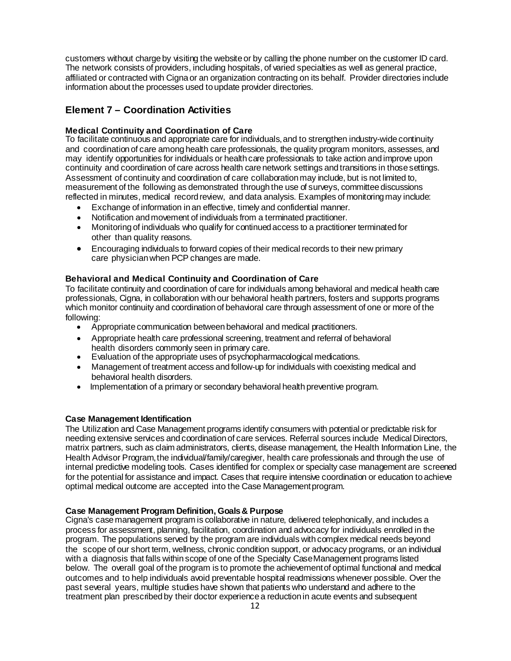customers without charge by visiting the website or by calling the phone number on the customer ID card. The network consists of providers, including hospitals, of varied specialties as well as general practice, affiliated or contracted with Cigna or an organization contracting on its behalf. Provider directories include information about the processes used to update provider directories.

# **Element 7 – Coordination Activities**

# **Medical Continuity and Coordination of Care**

To facilitate continuous and appropriate care for individuals,and to strengthen industry-wide continuity and coordination of care among health care professionals, the quality program monitors, assesses, and may identify opportunities for individuals or healthcare professionals to take action andimprove upon continuity and coordination of care across health care network settings and transitions in those settings. Assessment of continuity and coordination of care collaboration may include, but is not limited to, measurement of the following as demonstrated throughthe use of surveys, committeediscussions reflected in minutes, medical record review, and data analysis. Examples of monitoring may include:

- Exchange of information inan effective, timely and confidential manner.
- Notification and movement of individuals from a terminated practitioner.
- Monitoring of individuals who qualify for continued access to a practitioner terminated for other than quality reasons.
- Encouraging individuals to forward copies of their medical records to their new primary care physicianwhen PCP changes are made.

# **Behavioral and Medical Continuity and Coordination of Care**

To facilitate continuity and coordination of care for individuals among behavioral and medical health care professionals, Cigna, in collaboration with our behavioral health partners, fosters and supports programs which monitor continuity and coordination of behavioral care through assessment of one or more of the following:

- Appropriate communication between behavioral and medical practitioners.
- Appropriate health care professional screening, treatment and referral of behavioral health disorders commonly seen in primary care.
- Evaluation of the appropriate uses of psychopharmacological medications.
- Management of treatment access and follow-up for individuals with coexisting medical and behavioral health disorders.
- Implementation of a primary or secondary behavioral health preventive program.

## **Case Management Identification**

The Utilization and Case Management programs identify consumers with potential or predictable risk for needing extensive services andcoordinationof care services. Referral sources include Medical Directors, matrix partners, such as claim administrators, clients, disease management, the Health Information Line, the Health Advisor Program,the individual/family/caregiver, health care professionals and through the use of internal predictive modeling tools. Cases identified for complex or specialty case management are screened for the potential for assistance and impact. Cases that require intensive coordination or education toachieve optimal medical outcome are accepted into the Case Managementprogram.

## **Case Management Program Definition, Goals& Purpose**

Cigna's casemanagement program is collaborative in nature, delivered telephonically, and includes a process for assessment, planning, facilitation, coordination and advocacy for individuals enrolled in the program. The populations served by the program are individuals with complex medical needs beyond the scope of our short term, wellness, chronic condition support, or advocacy programs, or an individual with a diagnosis that falls withinscope of one of the Specialty CaseManagement programs listed below. The overall goal of the program is to promote the achievementof optimal functional and medical outcomes and to help individuals avoid preventable hospital readmissions whenever possible. Over the past several years, multiple studies have shown that patients who understand and adhere to the treatment plan prescribedby their doctor experiencea reductionin acute events and subsequent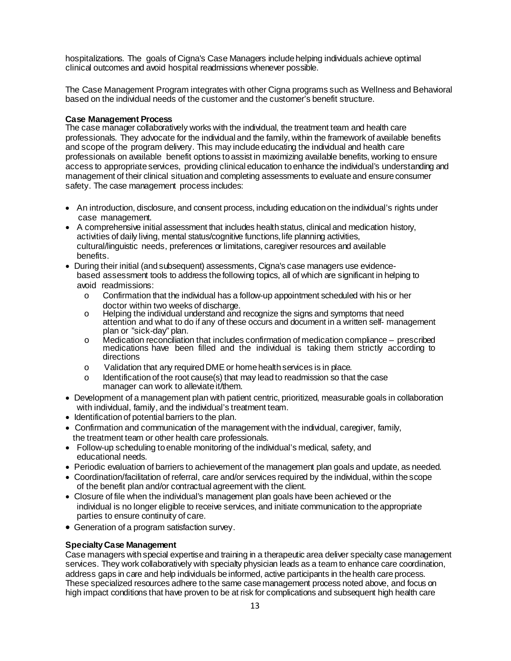hospitalizations. The goals of Cigna's Case Managers include helping individuals achieve optimal clinical outcomes and avoid hospital readmissions whenever possible.

The Case Management Program integrates with other Cigna programs such as Wellness and Behavioral based on the individual needs of the customer and the customer's benefit structure.

#### **Case Management Process**

The case manager collaboratively works with the individual, the treatment team and health care professionals. They advocate for the individual and the family, within the framework of available benefits and scope of the program delivery. This may include educating the individual and health care professionals on available benefit options toassist in maximizing available benefits, working to ensure access to appropriate services, providing clinical education toenhance the individual's understanding and management of their clinical situation and completing assessments to evaluate and ensure consumer safety. The case management process includes:

- An introduction, disclosure, and consent process, including educationon theindividual's rights under case management.
- A comprehensive initial assessment that includes health status, clinical and medication history, activities of daily living, mental status/cognitive functions,life planning activities, cultural/linguistic needs, preferences or limitations, caregiver resources and available benefits.
- During their initial (andsubsequent) assessments, Cigna's case managers use evidencebased assessment tools to address thefollowing topics, all of which are significant in helping to avoid readmissions:
	- $\circ$  Confirmation that the individual has a follow-up appointment scheduled with his or her doctor within two weeks of discharge.
	- o Helping the individual understand and recognize the signs and symptoms that need attention and what to do if any of these occurs and document in a written self- management plan or "sick-day" plan.<br>Medication reconciliation that includes confirmation of medication compliance – prescribed
	- <sup>o</sup> Medication reconciliation that includes confirmation of medication compliance prescribed medications have been filled and the individual is taking them strictly according to directions
	- o Validation that any requiredDME or homehealthservices is in place.
	- $\circ$  Identification of the root cause(s) that may lead to readmission so that the case manager can work to alleviate it/them.
- Development of a management plan with patient centric, prioritized, measurable goals in collaboration with individual, family, and the individual's treatment team.
- Identification of potential barriers to the plan.
- Confirmation and communication of the management withthe individual, caregiver, family, the treatment team or other health care professionals.
- Follow-up scheduling to enable monitoring of the individual's medical, safety, and educational needs.
- Periodic evaluation of barriers to achievement of the management plan goals and update, as needed.
- Coordination/facilitation of referral, care and/or services required by the individual, within the scope of the benefit plan and/or contractual agreement with the client.
- Closure of file when the individual's management plan goals have been achieved or the individual is no longer eligible to receive services, and initiate communication to the appropriate parties to ensure continuity of care.
- Generation of a program satisfaction survey.

### **SpecialtyCase Management**

Case managers with special expertise and training in a therapeutic area deliver specialty case management services. They work collaboratively with specialty physician leads as a team to enhance care coordination, address gaps in care and help individuals be informed, active participants in the health care process. These specialized resources adhere tothe same casemanagement process noted above, and focus on high impact conditions that have proven to be at risk for complications and subsequent high health care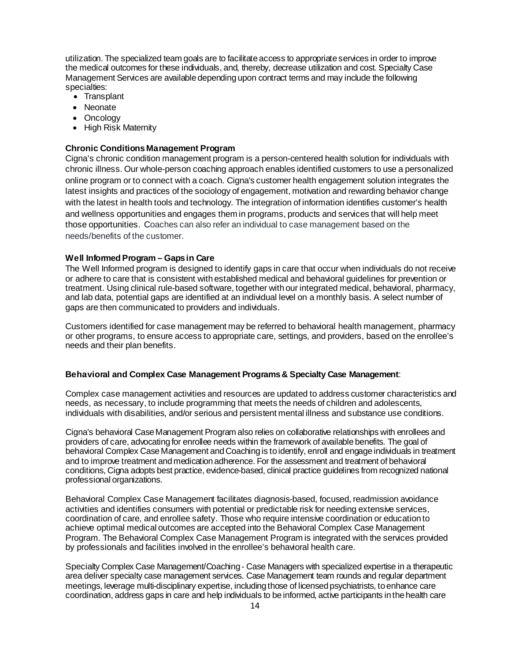utilization. The specialized team goals are to facilitate access to appropriate services in order to improve the medical outcomes for these individuals, and, thereby, decrease utilization and cost. Specialty Case Management Services are availabledepending upon contract terms and may include the following specialties:

- Transplant
- Neonate
- Oncology
- High Risk Maternity

#### **Chronic Conditions Management Program**

Cigna's chronic condition management program is a person-centered health solution for individuals with chronic illness. Our whole-person coaching approach enables identified customers to use a personalized online program or to connect with a coach. Cigna's customer health engagement solution integrates the latest insights and practices of the sociology of engagement, motivation and rewarding behavior change with the latest in health tools and technology. The integration of information identifies customer's health and wellness opportunities and engages them in programs, products and services that will help meet those opportunities. Coaches can also refer an individual to case management based on the needs/benefits of the customer.

#### **Well Informed Program – Gaps in Care**

The Well Informed program is designed to identify gaps in care that occur when individuals do not receive or adhere to care that is consistent with established medical and behavioral guidelines for prevention or treatment. Using clinical rule-based software, together with our integrated medical, behavioral, pharmacy, and lab data, potential gaps are identified at an individual level on a monthly basis. A select number of gaps are then communicated to providers and individuals.

Customers identified for case management may be referred to behavioral health management, pharmacy or other programs, to ensure access to appropriate care, settings, and providers, based on the enrollee's needs and their plan benefits.

#### **Behavioral and Complex Case Management Programs & Specialty Case Management**:

Complex case management activities and resources are updated to address customer characteristics and needs, as necessary, to include programming that meets the needs of children and adolescents, individuals with disabilities, and/or serious and persistent mental illness and substance use conditions.

Cigna's behavioral Case Management Program also relies on collaborative relationships with enrollees and providers of care, advocating for enrollee needs within the framework of available benefits. The goal of behavioral Complex Case Management and Coaching is to identify, enroll and engage individuals in treatment and to improve treatment and medication adherence. For the assessment and treatment of behavioral conditions, Cigna adopts best practice, evidence-based, clinical practice guidelines from recognized national professional organizations.

Behavioral Complex Case Management facilitates diagnosis-based, focused, readmission avoidance activities and identifies consumers with potential or predictable risk for needing extensive services, coordination of care, and enrollee safety. Those who require intensive coordination or education to achieve optimal medical outcomes are accepted into the Behavioral Complex Case Management Program. The Behavioral Complex Case Management Program is integrated with the services provided by professionals and facilities involved in the enrollee's behavioral health care.

Specialty Complex Case Management/Coaching - Case Managers with specialized expertise in a therapeutic area deliver specialty case management services. Case Management team rounds and regular department meetings, leverage multi-disciplinary expertise, including those of licensed psychiatrists, to enhance care coordination, address gaps in care and help individuals to be informed, active participants in the health care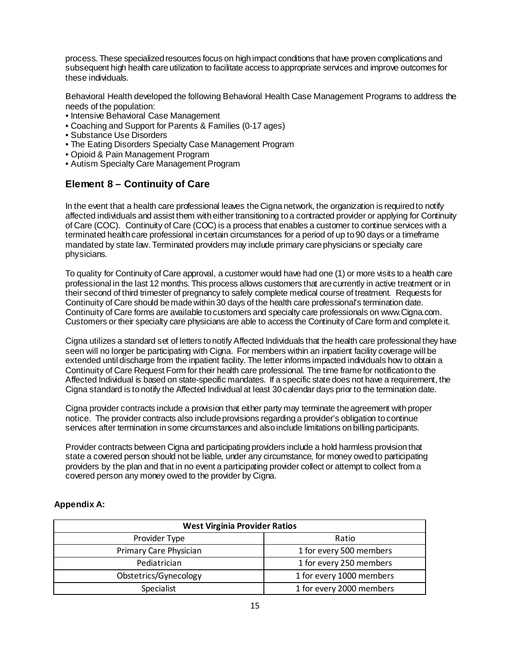process. These specialized resources focus on high impact conditions that have proven complications and subsequent high health care utilization to facilitate access to appropriate services and improve outcomes for these individuals.

Behavioral Health developed the following Behavioral Health Case Management Programs to address the needs of the population:

- Intensive Behavioral Case Management
- Coaching and Support for Parents & Families (0-17 ages)
- Substance Use Disorders
- The Eating Disorders Specialty Case Management Program
- Opioid & Pain Management Program
- Autism Specialty Care Management Program

# **Element 8 – Continuity of Care**

In the event that a health care professional leaves the Cigna network, the organization is required to notify affected individuals and assist them with either transitioning to a contracted provider or applying for Continuity of Care (COC). Continuity of Care (COC) is a process that enables a customer to continue services with a terminated health care professional in certain circumstances for a period of up to 90 days or a timeframe mandated by state law. Terminated providers may include primary care physicians or specialty care physicians.

To quality for Continuity of Care approval, a customer would have had one (1) or more visits to a health care professional in the last 12 months. This process allows customers that are currently in active treatment or in their second of third trimester of pregnancy to safely complete medical course of treatment. Requests for Continuity of Care should be made within 30 days of the health care professional's termination date. Continuity of Care forms are available to customers and specialty care professionals on www.Cigna.com. Customers or their specialty care physicians are able to access the Continuity of Care form and complete it.

Cigna utilizes a standard set of letters to notify Affected Individuals that the health care professional they have seen will no longer be participating with Cigna. For members within an inpatient facility coverage will be extended until discharge from the inpatient facility. The letter informs impacted individuals how to obtain a Continuity of Care Request Form for their health care professional. The time frame for notification to the Affected Individual is based on state-specific mandates. If a specific state does not have a requirement, the Cigna standard is to notify the Affected Individual at least 30 calendar days prior to the termination date.

Cigna provider contracts include a provision that either party may terminate the agreement with proper notice. The provider contracts also include provisions regarding a provider's obligation to continue services after termination in some circumstances and also include limitations on billing participants.

Provider contracts between Cigna and participating providers include a hold harmless provision that state a covered person should not be liable, under any circumstance, for money owed to participating providers by the plan and that in no event a participating provider collect or attempt to collect from a covered person any money owed to the provider by Cigna.

| <b>West Virginia Provider Ratios</b> |                          |  |  |  |  |  |  |  |  |  |  |
|--------------------------------------|--------------------------|--|--|--|--|--|--|--|--|--|--|
| Provider Type                        | Ratio                    |  |  |  |  |  |  |  |  |  |  |
| Primary Care Physician               | 1 for every 500 members  |  |  |  |  |  |  |  |  |  |  |
| Pediatrician                         | 1 for every 250 members  |  |  |  |  |  |  |  |  |  |  |
| Obstetrics/Gynecology                | 1 for every 1000 members |  |  |  |  |  |  |  |  |  |  |
| Specialist                           | 1 for every 2000 members |  |  |  |  |  |  |  |  |  |  |

## **Appendix A:**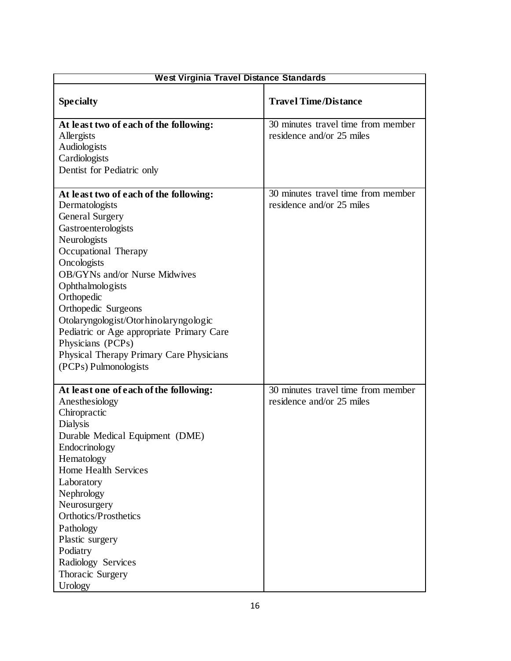| <b>West Virginia Travel Distance Standards</b>                                                                                                                                                                                                                                                                                                                                                                                                           |                                                                 |  |  |  |  |  |  |  |  |  |  |
|----------------------------------------------------------------------------------------------------------------------------------------------------------------------------------------------------------------------------------------------------------------------------------------------------------------------------------------------------------------------------------------------------------------------------------------------------------|-----------------------------------------------------------------|--|--|--|--|--|--|--|--|--|--|
| <b>Specialty</b>                                                                                                                                                                                                                                                                                                                                                                                                                                         | <b>Travel Time/Distance</b>                                     |  |  |  |  |  |  |  |  |  |  |
| At least two of each of the following:<br>Allergists<br>Audiologists<br>Cardiologists<br>Dentist for Pediatric only                                                                                                                                                                                                                                                                                                                                      | 30 minutes travel time from member<br>residence and/or 25 miles |  |  |  |  |  |  |  |  |  |  |
| At least two of each of the following:<br>Dermatologists<br><b>General Surgery</b><br>Gastroenterologists<br>Neurologists<br>Occupational Therapy<br>Oncologists<br><b>OB/GYNs and/or Nurse Midwives</b><br>Ophthalmologists<br>Orthopedic<br>Orthopedic Surgeons<br>Otolaryngologist/Otorhinolaryngologic<br>Pediatric or Age appropriate Primary Care<br>Physicians (PCPs)<br><b>Physical Therapy Primary Care Physicians</b><br>(PCPs) Pulmonologists | 30 minutes travel time from member<br>residence and/or 25 miles |  |  |  |  |  |  |  |  |  |  |
| At least one of each of the following:<br>Anesthesiology<br>Chiropractic<br><b>Dialysis</b><br>Durable Medical Equipment (DME)<br>Endocrinology<br>Hematology<br>Home Health Services<br>Laboratory<br>Nephrology<br>Neurosurgery<br>Orthotics/Prosthetics<br>Pathology<br>Plastic surgery<br>Podiatry<br>Radiology Services<br>Thoracic Surgery<br>Urology                                                                                              | 30 minutes travel time from member<br>residence and/or 25 miles |  |  |  |  |  |  |  |  |  |  |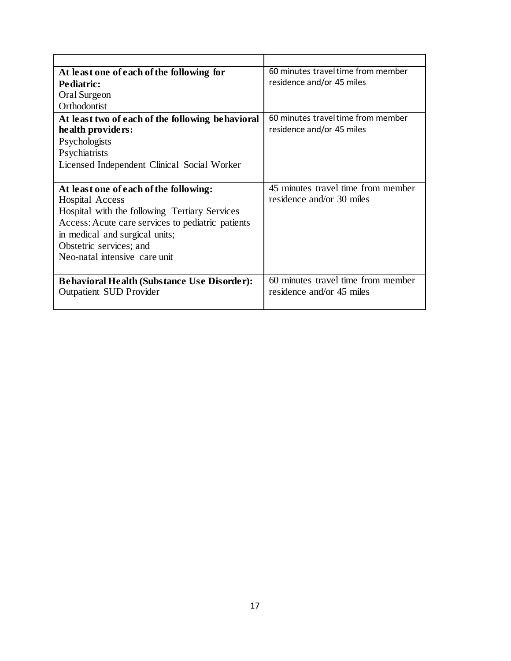| At least one of each of the following for          | 60 minutes travel time from member |
|----------------------------------------------------|------------------------------------|
| Pediatric:                                         | residence and/or 45 miles          |
| Oral Surgeon                                       |                                    |
| Orthodontist                                       |                                    |
| At least two of each of the following behavioral   | 60 minutes travel time from member |
| health providers:                                  | residence and/or 45 miles          |
| Psychologists                                      |                                    |
| Psychiatrists                                      |                                    |
| Licensed Independent Clinical Social Worker        |                                    |
|                                                    |                                    |
|                                                    |                                    |
| At least one of each of the following:             | 45 minutes travel time from member |
| <b>Hospital Access</b>                             | residence and/or 30 miles          |
| Hospital with the following Tertiary Services      |                                    |
| Access: Acute care services to pediatric patients  |                                    |
| in medical and surgical units;                     |                                    |
| Obstetric services; and                            |                                    |
| Neo-natal intensive care unit                      |                                    |
|                                                    |                                    |
| <b>Behavioral Health (Substance Use Disorder):</b> | 60 minutes travel time from member |
| <b>Outpatient SUD Provider</b>                     | residence and/or 45 miles          |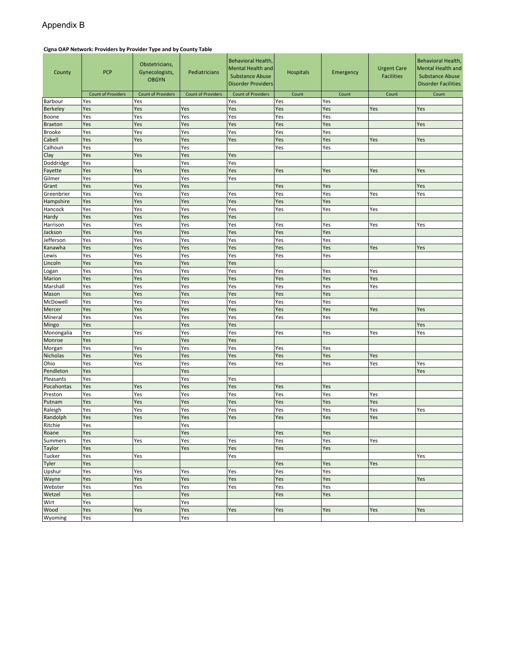### Appendix B

#### **Cigna OAP Network: Providers by Provider Type and by County Table**

| County             | <b>PCP</b>                | Obstetricians,<br>Gynecologists,<br><b>OBGYN</b> | Pediatricians             | Behavioral Health,<br><b>Mental Health and</b><br><b>Substance Abuse</b><br><b>Disorder Providers</b> | <b>Hospitals</b> | Emergency  | <b>Urgent Care</b><br><b>Facilities</b> | Behavioral Health,<br><b>Mental Health and</b><br><b>Substance Abuse</b><br><b>Disorder Facilities</b> |  |  |  |  |
|--------------------|---------------------------|--------------------------------------------------|---------------------------|-------------------------------------------------------------------------------------------------------|------------------|------------|-----------------------------------------|--------------------------------------------------------------------------------------------------------|--|--|--|--|
|                    | <b>Count of Providers</b> | <b>Count of Providers</b>                        | <b>Count of Providers</b> | <b>Count of Providers</b>                                                                             | Count            | Count      | Count                                   | Count                                                                                                  |  |  |  |  |
| Barbour            | Yes                       | Yes                                              |                           | Yes                                                                                                   | Yes              | Yes        |                                         |                                                                                                        |  |  |  |  |
| <b>Berkeley</b>    | Yes                       | Yes                                              | Yes                       | Yes                                                                                                   | Yes              | Yes        | Yes                                     | Yes                                                                                                    |  |  |  |  |
| Boone              | Yes                       | Yes                                              | Yes                       | Yes                                                                                                   | Yes              | Yes        |                                         |                                                                                                        |  |  |  |  |
| <b>Braxton</b>     | Yes                       | Yes                                              | Yes                       | Yes                                                                                                   | Yes              | Yes        |                                         | Yes                                                                                                    |  |  |  |  |
| <b>Brooke</b>      | Yes                       | Yes                                              | Yes                       | Yes                                                                                                   | Yes              | Yes        |                                         |                                                                                                        |  |  |  |  |
| Cabell             | Yes                       | Yes                                              | Yes                       | Yes                                                                                                   | Yes              | Yes        | Yes                                     | Yes                                                                                                    |  |  |  |  |
| Calhoun            | Yes                       |                                                  | Yes                       |                                                                                                       | Yes              | Yes        |                                         |                                                                                                        |  |  |  |  |
| Clay               | Yes                       | Yes                                              | Yes                       | Yes                                                                                                   |                  |            |                                         |                                                                                                        |  |  |  |  |
| Doddridge          | Yes                       |                                                  | Yes                       | Yes                                                                                                   |                  |            |                                         |                                                                                                        |  |  |  |  |
| Fayette            | Yes                       | Yes                                              | Yes                       | Yes                                                                                                   | Yes              | Yes        | Yes                                     | Yes                                                                                                    |  |  |  |  |
| Gilmer             | Yes                       |                                                  | Yes                       | Yes                                                                                                   |                  |            |                                         |                                                                                                        |  |  |  |  |
| Grant              | Yes                       | Yes                                              | Yes                       |                                                                                                       | Yes              | Yes        |                                         | Yes                                                                                                    |  |  |  |  |
| Greenbrier         | Yes                       | Yes                                              | Yes                       | Yes                                                                                                   | Yes              | Yes        | Yes                                     | Yes                                                                                                    |  |  |  |  |
| Hampshire          | Yes                       | Yes                                              | Yes                       | Yes                                                                                                   | Yes              | Yes        |                                         |                                                                                                        |  |  |  |  |
| Hancock            | Yes                       | Yes                                              | Yes                       | Yes                                                                                                   | Yes              | Yes        | Yes                                     |                                                                                                        |  |  |  |  |
| Hardy              | Yes                       | Yes                                              | Yes                       | Yes                                                                                                   |                  |            |                                         |                                                                                                        |  |  |  |  |
| Harrison           | Yes                       | Yes                                              | Yes                       | Yes                                                                                                   | Yes              | Yes        | Yes                                     | Yes                                                                                                    |  |  |  |  |
| Jackson            | Yes                       | Yes                                              | Yes                       | Yes                                                                                                   | Yes              | Yes        |                                         |                                                                                                        |  |  |  |  |
| Jefferson          | Yes                       | Yes                                              | Yes                       | Yes                                                                                                   | Yes              | Yes        |                                         |                                                                                                        |  |  |  |  |
| Kanawha            | Yes                       | Yes                                              | Yes                       | Yes                                                                                                   | Yes              | Yes        | Yes                                     | Yes                                                                                                    |  |  |  |  |
| Lewis              | Yes<br>Yes                | Yes                                              | Yes<br>Yes                | Yes<br>Yes                                                                                            | Yes              | Yes        |                                         |                                                                                                        |  |  |  |  |
| Lincoln            | Yes                       | Yes                                              | Yes                       | Yes                                                                                                   |                  |            |                                         |                                                                                                        |  |  |  |  |
| Logan              |                           | Yes                                              | Yes                       |                                                                                                       | Yes              | Yes        | Yes                                     |                                                                                                        |  |  |  |  |
| Marion<br>Marshall | Yes<br>Yes                | Yes<br>Yes                                       | Yes                       | Yes<br>Yes                                                                                            | Yes<br>Yes       | Yes<br>Yes | Yes<br>Yes                              |                                                                                                        |  |  |  |  |
| Mason              | Yes                       | Yes                                              | Yes                       | Yes                                                                                                   | Yes              | Yes        |                                         |                                                                                                        |  |  |  |  |
| McDowell           | Yes                       | Yes                                              | Yes                       | Yes                                                                                                   | Yes              | Yes        |                                         |                                                                                                        |  |  |  |  |
| Mercer             | Yes                       | Yes                                              | Yes                       | Yes                                                                                                   | Yes              | Yes        | Yes                                     | Yes                                                                                                    |  |  |  |  |
| Mineral            | Yes                       | Yes                                              | Yes                       | Yes                                                                                                   | Yes              | Yes        |                                         |                                                                                                        |  |  |  |  |
| Mingo              | Yes                       |                                                  | Yes                       | Yes                                                                                                   |                  |            |                                         | Yes                                                                                                    |  |  |  |  |
| Monongalia         | Yes                       | Yes                                              | Yes                       | Yes                                                                                                   | Yes              | Yes        | Yes                                     | Yes                                                                                                    |  |  |  |  |
| Monroe             | Yes                       |                                                  | Yes                       | Yes                                                                                                   |                  |            |                                         |                                                                                                        |  |  |  |  |
| Morgan             | Yes                       | Yes                                              | Yes                       | Yes                                                                                                   | Yes              | Yes        |                                         |                                                                                                        |  |  |  |  |
| Nicholas           | Yes                       | Yes                                              | Yes                       | Yes                                                                                                   | Yes              | Yes        | Yes                                     |                                                                                                        |  |  |  |  |
| Ohio               | Yes                       | Yes                                              | Yes                       | Yes                                                                                                   | Yes              | Yes        | Yes                                     | Yes                                                                                                    |  |  |  |  |
| Pendleton          | Yes                       |                                                  | Yes                       |                                                                                                       |                  |            |                                         | Yes                                                                                                    |  |  |  |  |
| Pleasants          | Yes                       |                                                  | Yes                       | Yes                                                                                                   |                  |            |                                         |                                                                                                        |  |  |  |  |
| Pocahontas         | Yes                       | Yes                                              | Yes                       | Yes                                                                                                   | Yes              | Yes        |                                         |                                                                                                        |  |  |  |  |
| Preston            | Yes                       | Yes                                              | Yes                       | Yes                                                                                                   | Yes              | Yes        | Yes                                     |                                                                                                        |  |  |  |  |
| Putnam             | Yes                       | Yes                                              | Yes                       | Yes                                                                                                   | Yes              | Yes        | Yes                                     |                                                                                                        |  |  |  |  |
| Raleigh            | Yes                       | Yes                                              | Yes                       | Yes                                                                                                   | Yes              | Yes        | Yes                                     | Yes                                                                                                    |  |  |  |  |
| Randolph           | Yes                       | Yes                                              | Yes                       | Yes                                                                                                   | Yes              | Yes        | Yes                                     |                                                                                                        |  |  |  |  |
| Ritchie            | Yes                       |                                                  | Yes                       |                                                                                                       |                  |            |                                         |                                                                                                        |  |  |  |  |
| Roane              | Yes                       |                                                  | Yes                       |                                                                                                       | Yes              | Yes        |                                         |                                                                                                        |  |  |  |  |
| <b>Summers</b>     | Yes                       | Yes                                              | Yes                       | Yes                                                                                                   | Yes              | Yes        | Yes                                     |                                                                                                        |  |  |  |  |
| Taylor             | Yes                       |                                                  | Yes                       | Yes                                                                                                   | Yes              | Yes        |                                         |                                                                                                        |  |  |  |  |
| Tucker             | Yes                       | Yes                                              |                           | Yes                                                                                                   |                  |            |                                         | Yes                                                                                                    |  |  |  |  |
| Tyler              | Yes                       |                                                  |                           |                                                                                                       | Yes              | Yes        | Yes                                     |                                                                                                        |  |  |  |  |
| Upshur             | Yes                       | Yes                                              | Yes                       | Yes                                                                                                   | Yes              | Yes        |                                         |                                                                                                        |  |  |  |  |
| Wayne              | Yes                       | Yes                                              | Yes                       | Yes                                                                                                   | Yes              | Yes        |                                         | Yes                                                                                                    |  |  |  |  |
| Webster            | Yes                       | Yes                                              | Yes                       | Yes                                                                                                   | Yes              | Yes        |                                         |                                                                                                        |  |  |  |  |
| Wetzel             | Yes                       |                                                  | Yes                       |                                                                                                       | Yes              | Yes        |                                         |                                                                                                        |  |  |  |  |
| Wirt               | Yes                       |                                                  | Yes                       |                                                                                                       |                  |            |                                         |                                                                                                        |  |  |  |  |
| Wood               | Yes                       | Yes                                              | Yes                       | Yes                                                                                                   | Yes              | Yes        | Yes                                     | Yes                                                                                                    |  |  |  |  |
| Wyoming            | Yes                       |                                                  | Yes                       |                                                                                                       |                  |            |                                         |                                                                                                        |  |  |  |  |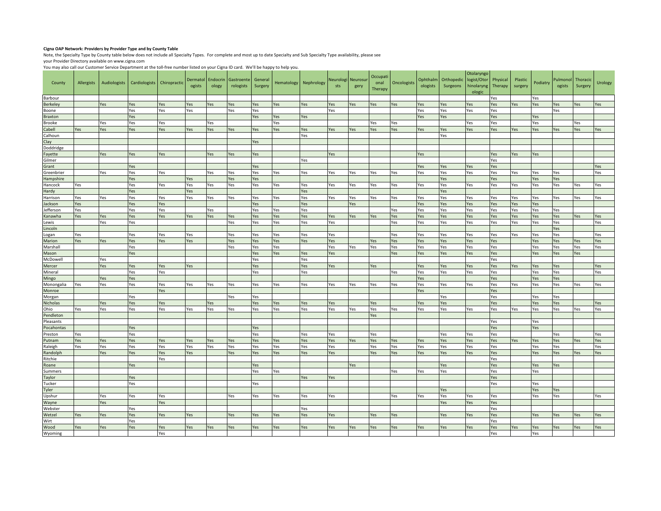#### **Cigna OAP Network: Providers by Provider Type and by County Table**

Note, the Specialty Type by County table below does not include all Specialty Types. For complete and most up to date Specialty and Sub Specialty Type availability, please see your Provider Directory available on www.cigna.com

You may also call our Customer Service Department at the toll-free number listed on your Cigna ID card. We'll be happy to help you.

| County               | Allergists | Audiologists | Cardiologists | Chiropractic | Dermatol<br>ogists | Endocrin<br>ology | Gastroente<br>rologists | General<br>Surgery | Hematology | Nephrology | Neurologi Neurosur<br>sts | gery | Occupati<br>onal<br>Therapy | Oncologists | Ophthalm<br>ologists | Orthopedic<br>Surgeons | Otolaryngo<br>logist/Otor<br>hinolaryng<br>ologic | Physical<br>Therapy | Plastic<br>surgery | Podiatry   | Pulmonol<br>ogists | Thoracic<br>Surgery | Urology |
|----------------------|------------|--------------|---------------|--------------|--------------------|-------------------|-------------------------|--------------------|------------|------------|---------------------------|------|-----------------------------|-------------|----------------------|------------------------|---------------------------------------------------|---------------------|--------------------|------------|--------------------|---------------------|---------|
| Barbour              |            |              |               |              |                    |                   |                         |                    |            |            |                           |      |                             |             |                      |                        |                                                   | Yes                 |                    | Yes        |                    |                     |         |
| <b>Berkeley</b>      |            | Yes          | Yes           | Yes          | Yes                | Yes               | Yes                     | Yes                | Yes        | Yes        | Yes                       | Yes  | Yes                         | Yes         | Yes                  | Yes                    | Yes                                               | Yes                 | Yes                | Yes        | Yes                | Yes                 | Yes     |
| Boone                |            |              | Yes           | Yes          | Yes                |                   | Yes                     | Yes                |            |            | Yes                       |      |                             |             | Yes                  | Yes                    | Yes                                               | Yes                 |                    |            | Yes                |                     |         |
| Braxton              |            |              | Yes           |              |                    |                   |                         | Yes                | Yes        | Yes        |                           |      |                             |             | Yes                  | Yes                    |                                                   | Yes                 |                    | Yes        |                    |                     |         |
| <b>Brooke</b>        |            | Yes          | Yes           | Yes          |                    | Yes               |                         |                    | Yes        |            |                           |      | Yes                         | Yes         |                      |                        | Yes                                               | Yes                 |                    | Yes        |                    | Yes                 |         |
| Cabell               | Yes        | es           | Yes           | Yes          | Yes                | Yes               | Yes                     | Yes                | Yes        | Yes        | Yes                       | Yes  | Yes                         | Yes         | Yes                  | Yes                    | Yes                                               | Yes                 | Yes                | Yes        | Yes                | Yes                 | Yes     |
| Calhoun              |            |              |               |              |                    |                   |                         |                    |            | Yes        |                           |      |                             |             |                      | Yes                    |                                                   |                     |                    |            |                    |                     |         |
| :lay                 |            |              |               |              |                    |                   |                         | Yes                |            |            |                           |      |                             |             |                      |                        |                                                   |                     |                    |            |                    |                     |         |
| Doddridge            |            |              |               |              |                    |                   |                         |                    |            |            |                           |      |                             |             |                      |                        |                                                   |                     |                    |            |                    |                     |         |
| Fayette              |            | Yes          | Yes           | Yes          |                    | Yes               | Yes                     | Yes                |            |            | Yes                       |      |                             |             | Yes                  |                        |                                                   | Yes                 | Yes                | Yes        |                    |                     |         |
| Gilmer               |            |              |               |              |                    |                   |                         |                    |            | Yes        |                           |      |                             |             |                      |                        |                                                   | Yes                 |                    |            |                    |                     |         |
| Grant                |            |              | Yes           |              |                    |                   |                         | Yes                |            |            |                           |      |                             |             | Yes                  | Yes                    | Yes                                               | Yes                 |                    |            |                    |                     | Yes     |
| Greenbrier           |            | Yes          | Yes           | Yes          |                    | Yes               | Yes                     | Yes                | Yes        | Yes        | Yes                       | Yes  | Yes                         | Yes         | Yes                  | Yes                    | Yes                                               | Yes                 | Yes                | Yes        | Yes                |                     | Yes     |
| Hampshire            |            |              | Yes           |              | <b>Yes</b>         |                   | Yes                     | Yes                |            |            |                           |      |                             |             |                      | Yes                    |                                                   | Yes                 |                    | Yes        | Yes                |                     |         |
| Hancock              | Yes        |              | Yes           | Yes          | Yes                | Yes               | Yes                     | Yes                | Yes        | Yes        | Yes                       | Yes  | Yes                         | Yes         | Yes                  | Yes                    | Yes                                               | Yes                 | Yes                | Yes        | Yes                | Yes                 | Yes     |
| lardy<br>Harrison    |            |              | Yes<br>Yes    |              | Yes                |                   |                         |                    |            | Yes<br>Yes |                           |      |                             |             |                      | Yes<br>Yes             |                                                   |                     |                    |            | Yes                |                     |         |
|                      | Yes        | Yes          |               | Yes          | Yes                | Yes               | Yes                     | Yes<br>Yes         | Yes        |            | Yes                       | Yes  | Yes                         | Yes         | Yes                  | Yes                    | Yes                                               | Yes                 | Yes                | Yes        |                    | Yes                 | Yes     |
| Jackson<br>Jefferson | Yes<br>Yes |              | Yes<br>Yes    | Yes<br>Yes   |                    | Yes               |                         | Yes                | Yes        | Yes<br>Yes |                           | Yes  |                             | Yes         | Yes<br>Yes           | Yes                    | Yes<br>Yes                                        | Yes<br>Yes          | Yes<br>Yes         | Yes<br>Yes | Yes                |                     |         |
|                      | Yes        |              | Yes           | Yes          |                    | Yes               | Yes                     | Yes                | Yes        | Yes        |                           |      |                             | Yes         | Yes                  | Yes                    | Yes                                               |                     | Yes                | Yes        | Yes                |                     | Yes     |
| Kanawha              |            | Yes<br>Yes   | Yes           |              | Yes                |                   | Yes                     | Yes                | Yes        | Yes        | Yes<br>Yes                | Yes  | Yes                         | Yes         | Yes                  | Yes                    |                                                   | Yes<br>Yes          | Yes                | Yes        | Yes                | Yes                 | Yes     |
| ewis<br>incoln       |            |              |               |              |                    |                   |                         |                    |            |            |                           |      |                             |             |                      |                        | Yes                                               |                     |                    |            | Yes                |                     |         |
| ogan                 | Yes        |              | Yes           | Yes          | Yes                |                   | Yes                     | Yes                | Yes        | Yes        | Yes                       |      |                             | Yes         | Yes                  | Yes                    | Yes                                               | Yes                 | Yes                | Yes        | Yes                |                     | Yes     |
| Marion               | Yes        | Yes          | Yes           | Yes          | Yes                |                   | Yes                     | Yes                | Yes        | Yes        | Yes                       |      | Yes                         | Yes         | Yes                  | Yes                    | Yes                                               | Yes                 |                    | Yes        | Yes                | Yes                 | Yes     |
| Marshall             |            |              | Yes           |              |                    |                   | Yes                     | Yes                | Yes        |            | Yes                       | Yes  | Yes                         | Yes         | Yes                  | Yes                    | Yes                                               | Yes                 |                    | Yes        | Yes                | Yes                 | Yes     |
| Mason                |            |              | Yes           |              |                    |                   |                         | Yes                | Yes        | Yes        | Yes                       |      |                             | Yes         | Yes                  | Yes                    | Yes                                               | Yes                 |                    | Yes        | Yes                | Yes                 |         |
| McDowell             |            | Yes          |               |              |                    |                   |                         | Yes                |            | Yes        |                           |      |                             |             |                      |                        |                                                   | Yes                 |                    |            |                    |                     |         |
| Mercer               |            | Yes          | Yes           | Yes          | Yes                |                   |                         | Yes                |            | Yes        | Yes                       |      | Yes                         |             | Yes                  | Yes                    | Yes                                               | Yes                 | Yes                | Yes        | Yes                |                     | Yes     |
| Mineral              |            |              | Yes           | Yes          |                    |                   |                         | Yes                |            | Yes        |                           |      |                             | Yes         | Yes                  | Yes                    | Yes                                               | Yes                 |                    | Yes        | Yes                |                     | Yes     |
| Mingo                |            | Yes          | Yes           |              |                    |                   |                         |                    |            |            |                           |      |                             |             | Yes                  |                        |                                                   | Yes                 |                    | Yes        | Yes                |                     |         |
| Monongalia           | Yes        | Yes          | Yes           | Yes          | Yes                | Yes               | Yes                     | Yes                | Yes        | Yes        | Yes                       | Yes  | Yes                         | Yes         | Yes                  | Yes                    | Yes                                               | Yes                 | Yes                | Yes        | Yes                | Yes                 | Yes     |
| Monroe               |            |              |               | Yes          |                    |                   |                         |                    |            |            |                           |      |                             |             | Yes                  |                        |                                                   | Yes                 |                    |            |                    |                     |         |
| Morgan               |            |              | Yes           |              |                    |                   | Yes                     | Yes                |            |            |                           |      |                             |             |                      | Yes                    |                                                   | Yes                 |                    | Yes        | Yes                |                     |         |
| <b>Nicholas</b>      |            | Yes          | Yes           | Yes          |                    | Yes               |                         | Yes                | Yes        | Yes        | Yes                       |      | Yes                         |             | Yes                  | Yes                    |                                                   | Yes                 |                    | Yes        | Yes                |                     | Yes     |
| Ohio                 | Yes        | Yes          | Yes           | Yes          | Yes                | Yes               | Yes                     | Yes                | Yes        | Yes        | Yes                       | Yes  | Yes                         | Yes         | Yes                  | Yes                    | Yes                                               | Yes                 | Yes                | Yes        | Yes                | Yes                 | Yes     |
| Pendleton            |            |              |               |              |                    |                   |                         |                    |            |            |                           |      | Yes                         |             |                      |                        |                                                   |                     |                    |            |                    |                     |         |
| Pleasants            |            |              |               |              |                    |                   |                         |                    |            |            |                           |      |                             |             |                      |                        |                                                   | Yes                 |                    | Yes        |                    |                     |         |
| Pocahontas           |            |              | Yes           |              |                    |                   |                         | Yes                |            |            |                           |      |                             |             |                      |                        |                                                   | Yes                 |                    | Yes        |                    |                     |         |
| Preston              | Yes        |              | Yes           |              |                    |                   |                         | Yes                |            | Yes        | Yes                       |      | Yes                         |             |                      | Yes                    | Yes                                               | Yes                 |                    |            | Yes                |                     | Yes     |
| Putnam               | Yes        | Yes          | Yes           | Yes          | <b>Yes</b>         | Yes               | Yes                     | Yes                | Yes        | Yes        | Yes                       | Yes  | Yes                         | Yes         | Yes                  | Yes                    | Yes                                               | Yes                 | Yes                | Yes        | Yes                | Yes                 | Yes     |
| Raleigh              | Yes        | Yes          | Yes           | Yes          | Yes                | Yes               | Yes                     | Yes                | Yes        | Yes        | Yes                       |      | Yes                         | Yes         | Yes                  | Yes                    | Yes                                               | Yes                 |                    | Yes        | Yes                |                     | Yes     |
| Randolph             |            | Yes          | Yes           | Yes          | Yes                |                   | Yes                     | Yes                | Yes        | Yes        | Yes                       |      | Yes                         | Yes         | Yes                  | Yes                    | Yes                                               | Yes                 |                    | Yes        | Yes                | Yes                 | Yes     |
| Ritchie              |            |              |               | Yes          |                    |                   |                         |                    |            |            |                           |      |                             |             |                      |                        |                                                   | Yes                 |                    |            |                    |                     |         |
| Roane                |            |              | Yes           |              |                    |                   |                         | Yes                |            |            |                           | Yes  |                             |             |                      | Yes                    |                                                   | Yes                 |                    | Yes        | Yes                |                     |         |
| Summers              |            |              |               |              |                    |                   |                         | Yes                | Yes        |            |                           |      |                             | Yes         | Yes                  | Yes                    |                                                   | Yes                 |                    | Yes        |                    |                     |         |
| Taylor               |            |              | Yes           |              |                    |                   |                         |                    |            | Yes        | Yes                       |      |                             |             |                      |                        |                                                   | Yes                 |                    |            |                    |                     |         |
| Tucker               |            |              | Yes           |              |                    |                   |                         | Yes                |            |            |                           |      |                             |             |                      |                        |                                                   | Yes                 |                    | Yes        |                    |                     |         |
| Tyler                |            |              |               |              |                    |                   |                         |                    |            |            |                           |      |                             |             |                      | Yes                    |                                                   |                     |                    | Yes        | Yes                |                     |         |
| Upshur               |            | Yes          | Yes           | Yes<br>Yes   |                    |                   | Yes                     | Yes                | Yes        | Yes        | Yes                       |      |                             | Yes         | Yes                  | Yes                    | Yes                                               | Yes                 |                    | Yes        | Yes                |                     | Yes     |
| Wayne<br>Webster     |            | Yes          | Yes           |              |                    |                   |                         |                    |            | Yes        |                           |      |                             |             |                      | Yes                    | Yes                                               | Yes<br>Yes          |                    |            |                    |                     |         |
| Wetzel               | Yes        | Yes          | Yes           | Yes          | Yes                |                   | Yes                     | Yes                | Yes        | Yes        | Yes                       |      | Yes                         | Yes         |                      | Yes                    | Yes                                               | Yes                 |                    | Yes        | Yes                | Yes                 | Yes     |
| Wirt                 |            |              | Yes           |              |                    |                   |                         |                    |            |            |                           |      |                             |             |                      |                        |                                                   | Yes                 |                    |            |                    |                     |         |
| Wood                 | Yes        | Yes          | Yes           | Yes          | Yes                | Yes               | Yes                     | Yes                | Yes        | Yes        | Yes                       | Yes  | Yes                         | Yes         | Yes                  | Yes                    | Yes                                               | Yes                 | Yes                | Yes        | Yes                | Yes                 | Yes     |
| Wyoming              |            |              |               | Yes          |                    |                   |                         |                    |            |            |                           |      |                             |             |                      |                        |                                                   | Yes                 |                    | Yes        |                    |                     |         |
|                      |            |              |               |              |                    |                   |                         |                    |            |            |                           |      |                             |             |                      |                        |                                                   |                     |                    |            |                    |                     |         |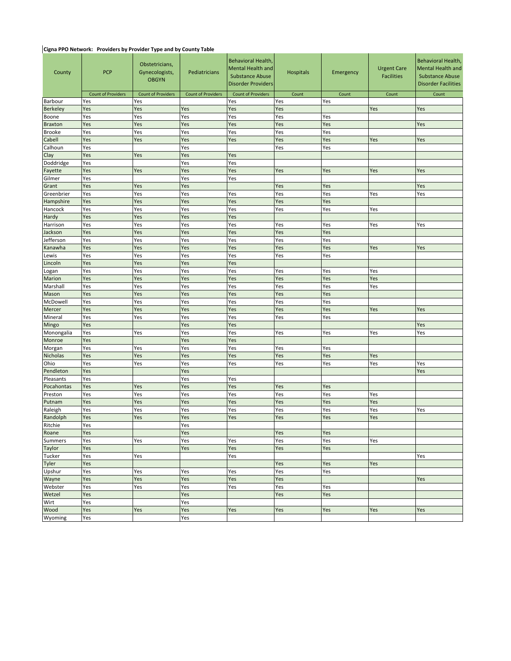#### **Cigna PPO Network: Providers by Provider Type and by County Table**

| County               | <b>PCP</b>                | Obstetricians,<br>Gynecologists,<br><b>OBGYN</b> | Pediatricians             | Behavioral Health,<br>Mental Health and<br><b>Substance Abuse</b><br><b>Disorder Providers</b> | <b>Hospitals</b> | Emergency | <b>Urgent Care</b><br><b>Facilities</b> | Behavioral Health,<br><b>Mental Health and</b><br><b>Substance Abuse</b><br><b>Disorder Facilities</b> |  |  |  |  |
|----------------------|---------------------------|--------------------------------------------------|---------------------------|------------------------------------------------------------------------------------------------|------------------|-----------|-----------------------------------------|--------------------------------------------------------------------------------------------------------|--|--|--|--|
|                      | <b>Count of Providers</b> | <b>Count of Providers</b>                        | <b>Count of Providers</b> | <b>Count of Providers</b>                                                                      | Count            | Count     | Count                                   | Count                                                                                                  |  |  |  |  |
| Barbour              | Yes                       | Yes                                              |                           | Yes                                                                                            | Yes              | Yes       |                                         |                                                                                                        |  |  |  |  |
| <b>Berkeley</b>      | Yes                       | Yes                                              | Yes                       | Yes                                                                                            | Yes              |           | Yes                                     | Yes                                                                                                    |  |  |  |  |
| Boone                | Yes                       | Yes<br>Yes                                       |                           | Yes                                                                                            | Yes              | Yes       |                                         |                                                                                                        |  |  |  |  |
| <b>Braxton</b>       | Yes                       | Yes                                              | Yes                       | Yes                                                                                            | Yes              | Yes       |                                         | Yes                                                                                                    |  |  |  |  |
| <b>Brooke</b>        | Yes                       | Yes                                              | Yes                       | Yes                                                                                            | Yes              | Yes       |                                         |                                                                                                        |  |  |  |  |
| Cabell               | Yes                       | Yes                                              | Yes                       | Yes                                                                                            | Yes              | Yes       | Yes                                     | Yes                                                                                                    |  |  |  |  |
| Calhoun              | Yes<br>Yes                |                                                  | Yes                       |                                                                                                | Yes              | Yes       |                                         |                                                                                                        |  |  |  |  |
| Clay                 |                           | Yes                                              | Yes<br>Yes                | Yes<br>Yes                                                                                     |                  |           |                                         |                                                                                                        |  |  |  |  |
| Doddridge<br>Fayette | Yes<br>Yes                | Yes                                              | Yes                       | Yes                                                                                            |                  |           | Yes                                     | Yes                                                                                                    |  |  |  |  |
| Gilmer               | Yes                       |                                                  | Yes                       | Yes                                                                                            | Yes              | Yes       |                                         |                                                                                                        |  |  |  |  |
| Grant                | Yes                       | Yes                                              | Yes                       |                                                                                                | Yes              | Yes       |                                         | Yes                                                                                                    |  |  |  |  |
| Greenbrier           | Yes                       | Yes                                              | Yes                       | Yes                                                                                            | Yes              | Yes       | Yes                                     | Yes                                                                                                    |  |  |  |  |
| Hampshire            | Yes                       | Yes                                              | Yes                       | Yes                                                                                            | Yes              | Yes       |                                         |                                                                                                        |  |  |  |  |
| Hancock              | Yes                       | Yes                                              | Yes                       | Yes                                                                                            | Yes              | Yes       | Yes                                     |                                                                                                        |  |  |  |  |
| Hardy                | Yes                       | Yes                                              | Yes                       | Yes                                                                                            |                  |           |                                         |                                                                                                        |  |  |  |  |
| Harrison             | Yes                       | Yes                                              | Yes                       | Yes                                                                                            | Yes              | Yes       | Yes                                     | Yes                                                                                                    |  |  |  |  |
| Jackson              | Yes                       | Yes                                              | Yes                       | Yes                                                                                            | Yes              | Yes       |                                         |                                                                                                        |  |  |  |  |
| Jefferson            | Yes                       | Yes                                              | Yes                       | Yes                                                                                            | Yes              | Yes       |                                         |                                                                                                        |  |  |  |  |
| Kanawha              | Yes                       | Yes                                              | Yes                       | Yes                                                                                            | Yes              | Yes       | Yes                                     | Yes                                                                                                    |  |  |  |  |
| Lewis                | Yes                       | Yes                                              | Yes                       | Yes                                                                                            | Yes              | Yes       |                                         |                                                                                                        |  |  |  |  |
| Lincoln              | Yes                       | Yes                                              | Yes                       | Yes                                                                                            |                  |           |                                         |                                                                                                        |  |  |  |  |
| Logan                | Yes                       | Yes                                              | Yes                       | Yes                                                                                            | Yes              | Yes       | Yes                                     |                                                                                                        |  |  |  |  |
| Marion               | Yes                       | Yes                                              | Yes                       | Yes                                                                                            | Yes              | Yes       | Yes                                     |                                                                                                        |  |  |  |  |
| Marshall             | Yes                       | Yes                                              | Yes                       | Yes                                                                                            | Yes              | Yes       | Yes                                     |                                                                                                        |  |  |  |  |
| Mason                | Yes                       | Yes                                              | Yes                       | Yes                                                                                            | Yes              | Yes       |                                         |                                                                                                        |  |  |  |  |
| McDowell             | Yes                       | Yes                                              | Yes                       | Yes                                                                                            | Yes              | Yes       |                                         |                                                                                                        |  |  |  |  |
| Mercer               | Yes                       | Yes                                              | Yes                       | Yes                                                                                            | Yes              | Yes       | Yes                                     | Yes                                                                                                    |  |  |  |  |
| Mineral              | Yes                       | Yes                                              | Yes                       | Yes                                                                                            | Yes              | Yes       |                                         |                                                                                                        |  |  |  |  |
| Mingo                | Yes                       |                                                  | Yes                       | Yes                                                                                            |                  |           |                                         | Yes                                                                                                    |  |  |  |  |
| Monongalia           | Yes                       | Yes                                              | Yes                       | Yes                                                                                            | Yes              | Yes       | Yes                                     | Yes                                                                                                    |  |  |  |  |
| Monroe               | Yes                       |                                                  | Yes                       | Yes                                                                                            |                  |           |                                         |                                                                                                        |  |  |  |  |
| Morgan               | Yes                       | Yes                                              | Yes                       | Yes                                                                                            | Yes              | Yes       |                                         |                                                                                                        |  |  |  |  |
| Nicholas             | Yes                       | Yes                                              | Yes                       | Yes                                                                                            | Yes              | Yes       | Yes                                     |                                                                                                        |  |  |  |  |
| Ohio                 | Yes                       | Yes                                              | Yes                       | Yes                                                                                            | Yes              | Yes       | Yes                                     | Yes                                                                                                    |  |  |  |  |
| Pendleton            | Yes                       |                                                  | Yes                       |                                                                                                |                  |           |                                         | Yes                                                                                                    |  |  |  |  |
| Pleasants            | Yes                       |                                                  | Yes                       | Yes                                                                                            |                  |           |                                         |                                                                                                        |  |  |  |  |
| Pocahontas           | Yes                       | Yes                                              | Yes                       | Yes                                                                                            | Yes              | Yes       |                                         |                                                                                                        |  |  |  |  |
| Preston              | Yes                       | Yes                                              | Yes                       | Yes                                                                                            | Yes              | Yes       | Yes                                     |                                                                                                        |  |  |  |  |
| Putnam               | Yes                       | Yes                                              | Yes                       | Yes                                                                                            | Yes              | Yes       | Yes                                     |                                                                                                        |  |  |  |  |
| Raleigh              | Yes                       | Yes                                              | Yes                       | Yes                                                                                            | Yes              | Yes       | Yes                                     | Yes                                                                                                    |  |  |  |  |
| Randolph             | Yes                       | Yes                                              | Yes                       | Yes                                                                                            | Yes              | Yes       | Yes                                     |                                                                                                        |  |  |  |  |
| Ritchie              | Yes                       |                                                  | Yes                       |                                                                                                |                  |           |                                         |                                                                                                        |  |  |  |  |
| Roane                | Yes                       |                                                  | Yes                       |                                                                                                | Yes              | Yes       |                                         |                                                                                                        |  |  |  |  |
| <b>Summers</b>       | Yes                       | Yes                                              | Yes                       | Yes                                                                                            | Yes              | Yes       | Yes                                     |                                                                                                        |  |  |  |  |
| Taylor               | Yes                       |                                                  | Yes                       | Yes                                                                                            | Yes              | Yes       |                                         |                                                                                                        |  |  |  |  |
| Tucker               | Yes                       | Yes                                              |                           | Yes                                                                                            |                  |           |                                         | Yes                                                                                                    |  |  |  |  |
| Tyler                | Yes                       |                                                  |                           |                                                                                                | Yes              | Yes       | Yes                                     |                                                                                                        |  |  |  |  |
| Upshur               | Yes                       | Yes                                              | Yes                       | Yes                                                                                            | Yes              | Yes       |                                         |                                                                                                        |  |  |  |  |
| Wayne                | Yes                       | Yes                                              | Yes                       | Yes                                                                                            | Yes              |           |                                         | Yes                                                                                                    |  |  |  |  |
| Webster              | Yes                       | Yes                                              | Yes                       | Yes                                                                                            | Yes              | Yes       |                                         |                                                                                                        |  |  |  |  |
| Wetzel               | Yes                       |                                                  | Yes                       |                                                                                                | Yes              | Yes       |                                         |                                                                                                        |  |  |  |  |
| Wirt                 | Yes                       |                                                  | Yes                       |                                                                                                |                  |           |                                         |                                                                                                        |  |  |  |  |
| Wood                 | Yes<br>Yes<br>Yes         |                                                  |                           | Yes                                                                                            | Yes              | Yes       | Yes                                     | Yes                                                                                                    |  |  |  |  |
| Wyoming              | Yes                       |                                                  | Yes                       |                                                                                                |                  |           |                                         |                                                                                                        |  |  |  |  |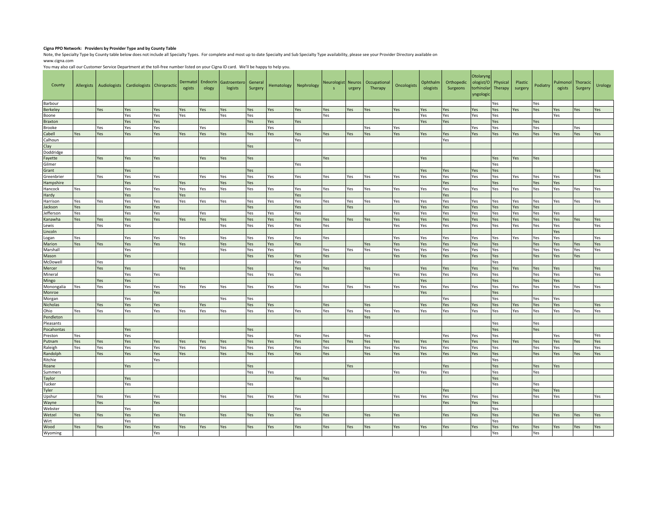#### **Cigna PPO Network: Providers by Provider Type and by County Table**

Note, the Specialty Type by County table below does not include all Specialty Types. For complete and most up to date Specialty and Sub Specialty Type availability, please see your Provider Directory available on www.cigna.com

You may also call our Customer Service Department at the toll-free number listed on your Cigna ID card. We'll be happy to help you.

| County               |            | Allergists Audiologists | Cardiologists Chiropractic |            | ogists     | Dermatol Endocrin<br>ology | Gastroenterd<br>logists | General<br>Surgery | Hematology | Nephrology | Neurologist Neuros<br>$\mathsf{s}$ | urgery | Occupational<br>Therapy | Oncologists | Ophthalm<br>ologists | Orthopedic<br>Surgeons | Otolaryng<br>torhinolar<br>yngologi | ologist/O Physical<br>Therapy | Plastic<br>surgery | Podiatry   | Pulmonol<br>ogists | Thoracic<br>Surgery | Urology    |
|----------------------|------------|-------------------------|----------------------------|------------|------------|----------------------------|-------------------------|--------------------|------------|------------|------------------------------------|--------|-------------------------|-------------|----------------------|------------------------|-------------------------------------|-------------------------------|--------------------|------------|--------------------|---------------------|------------|
| Barbour              |            |                         |                            |            |            |                            |                         |                    |            |            |                                    |        |                         |             |                      |                        |                                     | Yes                           |                    | Yes        |                    |                     |            |
| <b>Berkeley</b>      |            | Yes                     | Yes                        | Yes        | Yes        | Yes                        | Yes                     | Yes                | Yes        | Yes        | Yes                                | Yes    | Yes                     | Yes         | Yes                  | Yes                    | Yes                                 | Yes                           | Yes                | Yes        | Yes                | Yes                 | Yes        |
| Boone                |            |                         | Yes                        | Yes        | Yes        |                            | Yes                     | Yes                |            |            | Yes                                |        |                         |             | Yes                  | Yes                    | Yes                                 | Yes                           |                    |            | Yes                |                     |            |
| <b>Braxton</b>       |            |                         | Yes                        | Yes        |            |                            |                         | Yes                | Yes        | Yes        |                                    |        |                         |             | Yes                  | Yes                    |                                     | Yes                           |                    | Yes        |                    |                     |            |
| Brooke               |            | Yes                     | Yes                        | Yes        |            | Yes                        |                         |                    | Yes        |            |                                    |        | Yes                     | Yes         |                      |                        | Yes                                 | Yes                           |                    | Yes        |                    | Yes                 |            |
| Cabell<br>Calhoun    | Yes        | Yes                     | Yes                        | Yes        | Yes        | Yes                        | Yes                     | Yes                | Yes        | Yes<br>Yes | Yes                                | Yes    | Yes                     | Yes         | Yes                  | Yes<br>Yes             | Yes                                 | Yes                           | es                 | Yes        | Yes                | es                  | Yes        |
| Clay                 |            |                         |                            |            |            |                            |                         | Yes                |            |            |                                    |        |                         |             |                      |                        |                                     |                               |                    |            |                    |                     |            |
| Doddridge            |            |                         |                            |            |            |                            |                         |                    |            |            |                                    |        |                         |             |                      |                        |                                     |                               |                    |            |                    |                     |            |
| Fayette              |            | Yes                     | Yes                        | Yes        |            | Yes                        | Yes                     | Yes                |            |            | Yes                                |        |                         |             | Yes                  |                        |                                     | Yes                           | Yes                | Yes        |                    |                     |            |
| Gilmer               |            |                         |                            |            |            |                            |                         |                    |            | Yes        |                                    |        |                         |             |                      |                        |                                     | Yes                           |                    |            |                    |                     |            |
| Grant                |            |                         | Yes                        |            |            |                            |                         | Yes                |            |            |                                    |        |                         |             | Yes                  | Yes                    | Yes                                 | Yes                           |                    |            |                    |                     | Yes        |
| Greenbrier           |            | Yes                     | Yes                        | Yes        |            | Yes                        | Yes                     | Yes                | Yes        | Yes        | Yes                                | Yes    | Yes                     | Yes         | Yes                  | Yes                    | Yes                                 | Yes                           | Yes                | Yes        | Yes                |                     | Yes        |
| Hampshire            |            |                         | Yes                        |            | Yes        |                            | Yes                     | Yes                |            |            |                                    |        |                         |             |                      | Yes                    |                                     | Yes                           |                    | Yes        | Yes                |                     |            |
| Hancock              | Yes        |                         | Yes                        | Yes        | Yes        | Yes                        | Yes                     | Yes                | Yes        | Yes        | Yes                                | Yes    | Yes                     | Yes         | Yes                  | Yes                    | Yes                                 | Yes                           | Yes                | Yes        | Yes                | Yes                 | Yes        |
| Hardy                |            |                         | Yes                        |            | Yes        |                            |                         |                    |            | Yes        |                                    |        |                         |             |                      | Yes                    |                                     |                               |                    |            |                    |                     |            |
| Harrison             | Yes        | Yes                     | Yes                        | Yes        | Yes        | Yes                        | Yes                     | Yes                | Yes        | Yes        | Yes                                | Yes    | Yes                     | Yes         | Yes                  | Yes                    | Yes                                 | Yes                           | Yes                | Yes        | Yes                | Yes                 | Yes        |
| ackson               | Yes        |                         | Yes                        | Yes        |            |                            |                         | Yes                |            | Yes        |                                    | Yes    |                         |             | Yes                  | Yes                    | Yes                                 | Yes                           | Yes                | Yes        |                    |                     |            |
| Jefferson<br>Kanawha | Yes<br>Yes | Yes                     | Yes<br>Yes                 | Yes<br>Yes | Yes        | Yes<br>Yes                 | Yes                     | Yes<br>Yes         | Yes<br>Yes | Yes<br>Yes | Yes                                | Yes    | res                     | Yes<br>Yes  | Yes<br>Yes           | Yes<br>Yes             | Yes<br>Yes                          | Yes<br>Yes                    | Yes<br>/es         | Yes<br>Yes | Yes<br>Yes         | Yes                 | Yes        |
| Lewis                |            | Yes                     | Yes                        |            |            |                            | Yes                     | Yes                | Yes        | Yes        | Yes                                |        |                         | Yes         | Yes                  | Yes                    | Yes                                 | Yes                           | Yes                | Yes        | Yes                |                     | Yes        |
| Lincoln              |            |                         |                            |            |            |                            |                         |                    |            |            |                                    |        |                         |             |                      |                        |                                     |                               |                    |            | Yes                |                     |            |
| Logan                | Yes        |                         | Yes                        | Yes        | Yes        |                            | Yes                     | Yes                | Yes        | Yes        | Yes                                |        |                         | Yes         | Yes                  | Yes                    | Yes                                 | Yes                           | Yes                | Yes        | Yes                |                     | Yes        |
| Marion               | Yes        | Yes                     | Yes                        | Yes        | Yes        |                            | Yes                     | Yes                | 'es        | Yes        |                                    |        | Yes                     | Yes         | Yes                  | Yes                    | Yes                                 | Yes                           |                    | Yes        | Yes                | Yes                 | Yes        |
| Marshall             |            |                         | Yes                        |            |            |                            | Yes                     | Yes                | Yes        |            | Yes                                | Yes    | Yes                     | Yes         | Yes                  | Yes                    | Yes                                 | Yes                           |                    | Yes        | Yes                | Yes                 | Yes        |
| Mason                |            |                         | Yes                        |            |            |                            |                         | Yes                | Yes        | Yes        | Yes                                |        |                         | Yes         | Yes                  | Yes                    | Yes                                 | Yes                           |                    | Yes        | Yes                | Yes                 |            |
| McDowell             |            | Yes                     |                            |            |            |                            |                         |                    |            | Yes        |                                    |        |                         |             |                      |                        |                                     | Yes                           |                    |            |                    |                     |            |
| Mercer               |            | Yes                     | Yes                        |            | Yes        |                            |                         | Yes                |            | Yes        | Yes                                |        | Yes                     |             | Yes                  | Yes                    | Yes                                 | Yes                           | es/                | Yes        | Yes                |                     | Yes        |
| Mineral              |            | Yes                     | Yes                        | Yes        |            |                            |                         | Yes                | Yes        | Yes        |                                    |        |                         | Yes         | Yes                  | Yes                    | Yes                                 | Yes                           |                    | Yes<br>Yes | Yes                |                     | Yes        |
| Mingo<br>Monongalia  | Yes        | Yes                     | Yes<br>Yes                 | Yes        | Yes        | Yes                        | Yes                     | Yes                | Yes        | Yes        | Yes                                | Yes    | Yes                     | Yes         | Yes<br>Yes           | Yes                    | Yes                                 | Yes<br>Yes                    | Yes                | Yes        | Yes<br>Yes         | Yes                 | Yes        |
| Monroe               |            |                         |                            | Yes        |            |                            |                         |                    |            |            |                                    |        |                         |             | Yes                  |                        |                                     | Yes                           |                    |            |                    |                     |            |
| Morgan               |            |                         | Yes                        |            |            |                            | Yes                     | Yes                |            |            |                                    |        |                         |             |                      | Yes                    |                                     | Yes                           |                    | Yes        | Yes                |                     |            |
| <b>Nicholas</b>      |            | Yes                     | Yes                        | Yes        |            | Yes                        |                         | Yes                | Yes        |            | Yes                                |        | Yes                     |             | Yes                  | Yes                    | Yes                                 | Yes                           | Yes                | Yes        | Yes                |                     | Yes        |
| Ohio                 | Yes        | Yes                     | Yes                        | Yes        | Yes        | Yes                        | Yes                     | Yes                | Yes        | Yes        | Yes                                | Yes    | Yes                     | Yes         | Yes                  | Yes                    | Yes                                 | Yes                           | Yes                | Yes        | Yes                | Yes                 | Yes        |
| Pendleton            |            |                         |                            |            |            |                            |                         |                    |            |            |                                    |        | Yes                     |             |                      |                        |                                     |                               |                    |            |                    |                     |            |
| Pleasants            |            |                         |                            |            |            |                            |                         |                    |            |            |                                    |        |                         |             |                      |                        |                                     | Yes                           |                    | Yes        |                    |                     |            |
| Pocahontas           |            |                         | Yes                        |            |            |                            |                         | Yes                |            |            |                                    |        |                         |             |                      |                        |                                     | Yes                           |                    | Yes        |                    |                     |            |
| Preston              | Yes        |                         | Yes                        |            |            |                            |                         | Yes                |            | Yes        | Yes                                |        | Yes                     |             |                      | Yes                    | Yes<br>Yes                          | Yes                           |                    |            | Yes                |                     | Yes        |
| Putnam<br>Raleigh    | Yes<br>Yes | Yes<br>Yes              | Yes<br>Yes                 | Yes<br>Yes | Yes<br>Yes | Yes<br>Yes                 | Yes<br>Yes              | Yes<br>Yes         | Yes<br>Yes | Yes<br>Yes | Yes<br>Yes                         | Yes    | <b>Yes</b><br>Yes       | Yes<br>Yes  | Yes<br>Yes           | Yes<br>Yes             | Yes                                 | Yes<br>Yes                    | Yes                | Yes<br>Yes | Yes<br>Yes         | Yes                 | Yes<br>Yes |
| Randolph             |            | Yes                     | Yes                        | Yes        | Yes        |                            | Yes                     | Yes                | Yes        | Yes        | Yes                                |        | Yes                     | Yes         | Yes                  | Yes                    | Yes                                 | Yes                           |                    | Yes        | Yes                | Yes                 | Yes        |
| Ritchie              |            |                         |                            | Yes        |            |                            |                         |                    |            |            |                                    |        |                         |             |                      |                        |                                     | Yes                           |                    |            |                    |                     |            |
| Roane                |            |                         | Yes                        |            |            |                            |                         | Yes                |            |            |                                    | Yes    |                         |             |                      | Yes                    |                                     | Yes                           |                    | Yes        | Yes                |                     |            |
| Summers              |            |                         |                            |            |            |                            |                         | Yes                | Yes        |            |                                    |        |                         | Yes         | Yes                  | Yes                    |                                     | Yes                           |                    | Yes        |                    |                     |            |
| Taylor               |            |                         | Yes                        |            |            |                            |                         |                    |            | Yes        | Yes                                |        |                         |             |                      |                        |                                     | Yes                           |                    |            |                    |                     |            |
| Tucker               |            |                         | Yes                        |            |            |                            |                         | Yes                |            |            |                                    |        |                         |             |                      |                        |                                     | Yes                           |                    | Yes        |                    |                     |            |
| Tyler                |            |                         |                            |            |            |                            |                         |                    |            |            |                                    |        |                         |             |                      | Yes                    |                                     |                               |                    | Yes        | Yes                |                     |            |
| Upshur               |            | Yes                     | Yes                        | Yes        |            |                            | Yes                     | Yes                | Yes        | Yes        | Yes                                |        |                         | Yes         | Yes                  | Yes                    | Yes                                 | Yes                           |                    | Yes        | Yes                |                     | Yes        |
| Wayne                |            | Yes                     |                            | Yes        |            |                            |                         |                    |            |            |                                    |        |                         |             |                      | Yes                    | Yes                                 | Yes                           |                    |            |                    |                     |            |
| Webster<br>Wetzel    | Yes        | Yes                     | Yes<br>Yes                 | Yes        | Yes        |                            | Yes                     | Yes                | Yes        | Yes<br>Yes | Yes                                |        | Yes                     | Yes         |                      | Yes                    | Yes                                 | Yes<br>Yes                    |                    | Yes        | Yes                | Yes                 | Yes        |
| Wirt                 |            |                         | Yes                        |            |            |                            |                         |                    |            |            |                                    |        |                         |             |                      |                        |                                     | Yes                           |                    |            |                    |                     |            |
| Wood                 | Yes        | Yes                     | Yes                        | Yes        | Yes        | Yes                        | Yes                     | Yes                | Yes        | Yes        | Yes                                | Yes    | Yes                     | Yes         | Yes                  | Yes                    | Yes                                 | Yes                           | es                 | Yes        | Yes                | Yes                 | Yes        |
| Wyoming              |            |                         |                            | Yes        |            |                            |                         |                    |            |            |                                    |        |                         |             |                      |                        |                                     | Yes                           |                    | Yes        |                    |                     |            |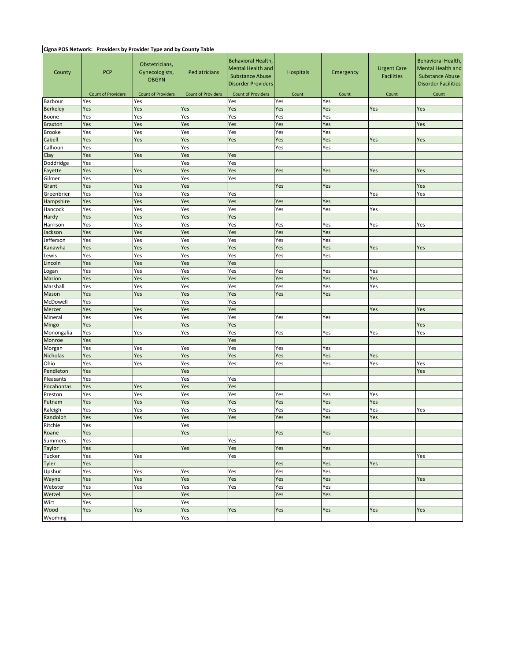### **Cigna POS Network: Providers by Provider Type and by County Table**

| County                  | <b>PCP</b>                | Obstetricians,<br>Gynecologists,<br>Pediatricians<br><b>OBGYN</b><br><b>Count of Providers</b><br><b>Count of Providers</b> |            | Behavioral Health,<br>Mental Health and<br><b>Substance Abuse</b><br><b>Disorder Providers</b> | <b>Hospitals</b> | Emergency  | <b>Urgent Care</b><br><b>Facilities</b> | Behavioral Health,<br><b>Mental Health and</b><br><b>Substance Abuse</b><br><b>Disorder Facilities</b> |  |  |  |  |
|-------------------------|---------------------------|-----------------------------------------------------------------------------------------------------------------------------|------------|------------------------------------------------------------------------------------------------|------------------|------------|-----------------------------------------|--------------------------------------------------------------------------------------------------------|--|--|--|--|
|                         | <b>Count of Providers</b> |                                                                                                                             |            | <b>Count of Providers</b>                                                                      | Count            | Count      | Count                                   | Count                                                                                                  |  |  |  |  |
| Barbour                 | Yes                       | Yes                                                                                                                         |            | Yes                                                                                            | Yes              | Yes        |                                         |                                                                                                        |  |  |  |  |
| <b>Berkeley</b>         | Yes<br>Yes                | Yes<br>Yes                                                                                                                  | Yes<br>Yes | Yes<br>Yes                                                                                     | Yes              | Yes<br>Yes | Yes                                     | Yes                                                                                                    |  |  |  |  |
| Boone<br><b>Braxton</b> | Yes                       |                                                                                                                             |            | Yes                                                                                            | Yes<br>Yes       | Yes        |                                         | Yes                                                                                                    |  |  |  |  |
| <b>Brooke</b>           | Yes                       | Yes<br>Yes<br>Yes<br>Yes                                                                                                    |            | Yes                                                                                            | Yes              | Yes        |                                         |                                                                                                        |  |  |  |  |
| Cabell                  | Yes                       | Yes                                                                                                                         | Yes        | Yes                                                                                            | Yes              | Yes        | Yes                                     | Yes                                                                                                    |  |  |  |  |
| Calhoun                 | Yes                       |                                                                                                                             | Yes        |                                                                                                | Yes              | Yes        |                                         |                                                                                                        |  |  |  |  |
| Clay                    | Yes                       | Yes                                                                                                                         | Yes        | Yes                                                                                            |                  |            |                                         |                                                                                                        |  |  |  |  |
| Doddridge               | Yes                       |                                                                                                                             | Yes        | Yes                                                                                            |                  |            |                                         |                                                                                                        |  |  |  |  |
| Fayette                 | Yes                       | Yes                                                                                                                         | Yes        | Yes                                                                                            | Yes              | Yes        | Yes                                     | Yes                                                                                                    |  |  |  |  |
| Gilmer                  | Yes                       |                                                                                                                             | Yes        | Yes                                                                                            |                  |            |                                         |                                                                                                        |  |  |  |  |
| Grant                   | Yes                       | Yes                                                                                                                         | Yes        |                                                                                                | Yes              | Yes        |                                         | Yes                                                                                                    |  |  |  |  |
| Greenbrier              | Yes                       | Yes                                                                                                                         | Yes        | Yes                                                                                            |                  |            | Yes                                     | Yes                                                                                                    |  |  |  |  |
| Hampshire               | Yes                       | Yes                                                                                                                         | Yes        | Yes                                                                                            | Yes              | Yes        |                                         |                                                                                                        |  |  |  |  |
| Hancock                 | Yes                       | Yes                                                                                                                         | Yes        | Yes                                                                                            | Yes              | Yes        | Yes                                     |                                                                                                        |  |  |  |  |
| Hardy                   | Yes                       | Yes                                                                                                                         | Yes        | Yes                                                                                            |                  |            |                                         |                                                                                                        |  |  |  |  |
| Harrison                | Yes                       | Yes                                                                                                                         | Yes        | Yes                                                                                            | Yes              | Yes        | Yes                                     | Yes                                                                                                    |  |  |  |  |
| Jackson                 | Yes                       | Yes                                                                                                                         | Yes        | Yes                                                                                            | Yes              | Yes        |                                         |                                                                                                        |  |  |  |  |
| Jefferson               | Yes                       | Yes                                                                                                                         | Yes        | Yes                                                                                            | Yes              | Yes        |                                         |                                                                                                        |  |  |  |  |
| Kanawha                 | Yes                       | Yes                                                                                                                         | Yes        | Yes                                                                                            | Yes              | Yes        | Yes                                     | Yes                                                                                                    |  |  |  |  |
| Lewis                   | Yes                       | Yes                                                                                                                         | Yes        | Yes                                                                                            | Yes              | Yes        |                                         |                                                                                                        |  |  |  |  |
| Lincoln                 | Yes                       | Yes                                                                                                                         | Yes        | Yes                                                                                            |                  |            |                                         |                                                                                                        |  |  |  |  |
| Logan                   | Yes                       | Yes                                                                                                                         | Yes        | Yes                                                                                            | Yes              | Yes        | Yes                                     |                                                                                                        |  |  |  |  |
| Marion<br>Marshall      | Yes<br>Yes                | Yes<br>Yes                                                                                                                  | Yes<br>Yes | Yes                                                                                            | Yes              | Yes        | Yes<br>Yes                              |                                                                                                        |  |  |  |  |
| Mason                   | Yes                       | Yes                                                                                                                         | Yes        | Yes<br>Yes                                                                                     | Yes<br>Yes       | Yes<br>Yes |                                         |                                                                                                        |  |  |  |  |
| McDowell                | Yes                       |                                                                                                                             | Yes        | Yes                                                                                            |                  |            |                                         |                                                                                                        |  |  |  |  |
| Mercer                  | Yes                       | Yes                                                                                                                         | Yes        | Yes                                                                                            |                  |            | Yes                                     | Yes                                                                                                    |  |  |  |  |
| Mineral                 | Yes                       | Yes                                                                                                                         | Yes        | Yes                                                                                            | Yes              | Yes        |                                         |                                                                                                        |  |  |  |  |
| Mingo                   | Yes                       |                                                                                                                             | Yes        | Yes                                                                                            |                  |            |                                         | Yes                                                                                                    |  |  |  |  |
| Monongalia              | Yes                       | Yes                                                                                                                         | Yes        | Yes                                                                                            | Yes              | Yes        | Yes                                     | Yes                                                                                                    |  |  |  |  |
| Monroe                  | Yes                       |                                                                                                                             |            | Yes                                                                                            |                  |            |                                         |                                                                                                        |  |  |  |  |
| Morgan                  | Yes                       | Yes                                                                                                                         | Yes        | Yes                                                                                            | Yes              | Yes        |                                         |                                                                                                        |  |  |  |  |
| Nicholas                | Yes                       | Yes                                                                                                                         | Yes        | Yes                                                                                            | Yes              | Yes        | Yes                                     |                                                                                                        |  |  |  |  |
| Ohio                    | Yes                       | Yes                                                                                                                         | Yes        | Yes                                                                                            | Yes              | Yes        | Yes                                     | Yes                                                                                                    |  |  |  |  |
| Pendleton               | Yes                       |                                                                                                                             | Yes        |                                                                                                |                  |            |                                         | Yes                                                                                                    |  |  |  |  |
| Pleasants               | Yes                       |                                                                                                                             | Yes        | Yes                                                                                            |                  |            |                                         |                                                                                                        |  |  |  |  |
| Pocahontas              | Yes                       | Yes                                                                                                                         | Yes        | Yes                                                                                            |                  |            |                                         |                                                                                                        |  |  |  |  |
| Preston                 | Yes                       | Yes                                                                                                                         | Yes        | Yes                                                                                            | Yes              | Yes        | Yes                                     |                                                                                                        |  |  |  |  |
| Putnam                  | Yes                       | Yes                                                                                                                         | Yes        | Yes                                                                                            | Yes              | Yes        | Yes                                     |                                                                                                        |  |  |  |  |
| Raleigh                 | Yes                       | Yes                                                                                                                         | Yes        | Yes                                                                                            | Yes              | Yes        | Yes                                     | Yes                                                                                                    |  |  |  |  |
| Randolph                | Yes                       | Yes                                                                                                                         | Yes        | Yes                                                                                            | Yes              | Yes        | Yes                                     |                                                                                                        |  |  |  |  |
| Ritchie                 | Yes                       |                                                                                                                             | Yes        |                                                                                                |                  |            |                                         |                                                                                                        |  |  |  |  |
| Roane                   | Yes                       |                                                                                                                             | Yes        |                                                                                                | Yes              | Yes        |                                         |                                                                                                        |  |  |  |  |
| <b>Summers</b>          | Yes                       |                                                                                                                             |            | Yes                                                                                            |                  |            |                                         |                                                                                                        |  |  |  |  |
| Taylor                  | Yes                       |                                                                                                                             | Yes        | Yes                                                                                            | Yes              | Yes        |                                         |                                                                                                        |  |  |  |  |
| Tucker                  | Yes<br>Yes                | Yes                                                                                                                         |            | Yes                                                                                            |                  |            |                                         | Yes                                                                                                    |  |  |  |  |
| Tyler<br>Upshur         | Yes                       | Yes                                                                                                                         | Yes        | Yes                                                                                            | Yes<br>Yes       | Yes<br>Yes | Yes                                     |                                                                                                        |  |  |  |  |
| Wayne                   | Yes                       | Yes                                                                                                                         | Yes        | Yes                                                                                            | Yes              | Yes        |                                         | Yes                                                                                                    |  |  |  |  |
| Webster                 | Yes                       | Yes                                                                                                                         | Yes        | Yes                                                                                            | Yes              | Yes        |                                         |                                                                                                        |  |  |  |  |
| Wetzel                  | Yes                       |                                                                                                                             | Yes        |                                                                                                | Yes              | Yes        |                                         |                                                                                                        |  |  |  |  |
| Wirt                    | Yes                       |                                                                                                                             | Yes        |                                                                                                |                  |            |                                         |                                                                                                        |  |  |  |  |
| Wood                    | Yes                       | Yes                                                                                                                         | Yes        | Yes                                                                                            | Yes              | Yes        | Yes                                     | Yes                                                                                                    |  |  |  |  |
| Wyoming                 |                           |                                                                                                                             | Yes        |                                                                                                |                  |            |                                         |                                                                                                        |  |  |  |  |